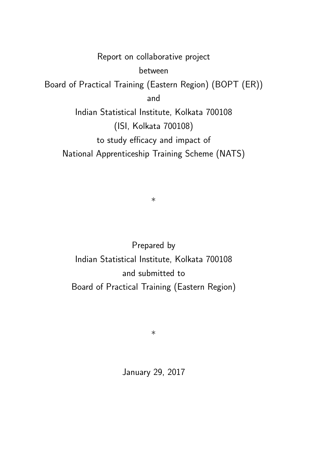Report on collaborative project between Board of Practical Training (Eastern Region) (BOPT (ER)) and Indian Statistical Institute, Kolkata 700108 (ISI, Kolkata 700108) to study efficacy and impact of National Apprenticeship Training Scheme (NATS)

∗

Prepared by Indian Statistical Institute, Kolkata 700108 and submitted to Board of Practical Training (Eastern Region)

∗

January 29, 2017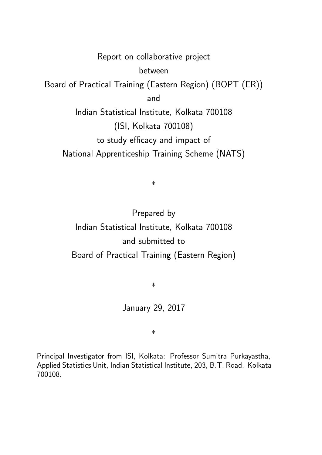Report on collaborative project between Board of Practical Training (Eastern Region) (BOPT (ER)) and Indian Statistical Institute, Kolkata 700108 (ISI, Kolkata 700108) to study efficacy and impact of National Apprenticeship Training Scheme (NATS)

∗

Prepared by Indian Statistical Institute, Kolkata 700108 and submitted to Board of Practical Training (Eastern Region)

∗

January 29, 2017

∗

Principal Investigator from ISI, Kolkata: Professor Sumitra Purkayastha, Applied Statistics Unit, Indian Statistical Institute, 203, B.T. Road. Kolkata 700108.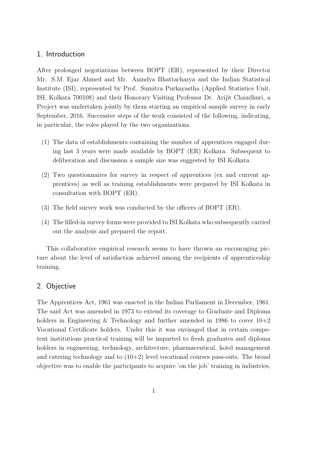#### 1. Introduction

After prolonged negotiations between BOPT (ER), represented by their Director Mr. S.M. Ejaz Ahmed and Mr. Anindya Bhattacharya and the Indian Statistical Institute (ISI), represented by Prof. Sumitra Purkayastha (Applied Statistics Unit, ISI, Kolkata 700108) and their Honorary Visiting Professor Dr. Arijit Chaudhuri, a Project was undertaken jointly by them starting an empirical sample survey in early September, 2016. Successive steps of the work consisted of the following, indicating, in particular, the roles played by the two organizations.

- (1) The data of establishments containing the number of apprentices engaged during last 3 years were made available by BOPT (ER) Kolkata. Subsequent to deliberation and discussion a sample size was suggested by ISI Kolkata.
- (2) Two questionnaires for survey in respect of apprentices (ex and current apprentices) as well as training establishments were prepared by ISI Kolkata in consultation with BOPT (ER).
- (3) The field survey work was conducted by the officers of BOPT (ER).
- (4) The filled-in survey forms were provided to ISI Kolkata who subsequently carried out the analysis and prepared the report.

This collaborative empirical research seems to have thrown an encouraging picture about the level of satisfaction achieved among the recipients of apprenticeship training.

#### 2. Objective

The Apprentices Act, 1961 was enacted in the Indian Parliament in December, 1961. The said Act was amended in 1973 to extend its coverage to Graduate and Diploma holders in Engineering & Technology and further amended in 1986 to cover  $10+2$ Vocational Certificate holders. Under this it was envisaged that in certain competent institutions practical training will be imparted to fresh graduates and diploma holders in engineering, technology, architecture, pharmaceutical, hotel management and catering technology and to  $(10+2)$  level vocational courses pass-outs. The broad objective was to enable the participants to acquire 'on the job' training in industries,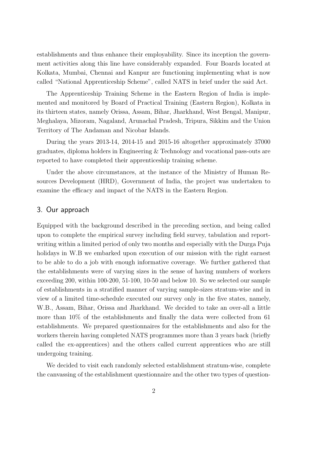establishments and thus enhance their employability. Since its inception the government activities along this line have considerably expanded. Four Boards located at Kolkata, Mumbai, Chennai and Kanpur are functioning implementing what is now called "National Apprenticeship Scheme", called NATS in brief under the said Act.

The Apprenticeship Training Scheme in the Eastern Region of India is implemented and monitored by Board of Practical Training (Eastern Region), Kolkata in its thirteen states, namely Orissa, Assam, Bihar, Jharkhand, West Bengal, Manipur, Meghalaya, Mizoram, Nagaland, Arunachal Pradesh, Tripura, Sikkim and the Union Territory of The Andaman and Nicobar Islands.

During the years 2013-14, 2014-15 and 2015-16 altogether approximately 37000 graduates, diploma holders in Engineering & Technology and vocational pass-outs are reported to have completed their apprenticeship training scheme.

Under the above circumstances, at the instance of the Ministry of Human Resources Development (HRD), Government of India, the project was undertaken to examine the efficacy and impact of the NATS in the Eastern Region.

#### 3. Our approach

Equipped with the background described in the preceding section, and being called upon to complete the empirical survey including field survey, tabulation and reportwriting within a limited period of only two months and especially with the Durga Puja holidays in W.B we embarked upon execution of our mission with the right earnest to be able to do a job with enough informative coverage. We further gathered that the establishments were of varying sizes in the sense of having numbers of workers exceeding 200, within 100-200, 51-100, 10-50 and below 10. So we selected our sample of establishments in a stratified manner of varying sample-sizes stratum-wise and in view of a limited time-schedule executed our survey only in the five states, namely, W.B., Assam, Bihar, Orissa and Jharkhand. We decided to take an over-all a little more than 10% of the establishments and finally the data were collected from 61 establishments. We prepared questionnaires for the establishments and also for the workers therein having completed NATS programmes more than 3 years back (briefly called the ex-apprentices) and the others called current apprentices who are still undergoing training.

We decided to visit each randomly selected establishment stratum-wise, complete the canvassing of the establishment questionnaire and the other two types of question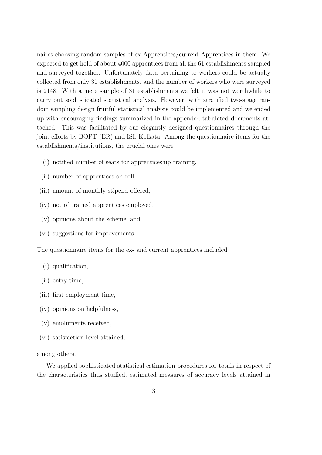naires choosing random samples of ex-Apprentices/current Apprentices in them. We expected to get hold of about 4000 apprentices from all the 61 establishments sampled and surveyed together. Unfortunately data pertaining to workers could be actually collected from only 31 establishments, and the number of workers who were surveyed is 2148. With a mere sample of 31 establishments we felt it was not worthwhile to carry out sophisticated statistical analysis. However, with stratified two-stage random sampling design fruitful statistical analysis could be implemented and we ended up with encouraging findings summarized in the appended tabulated documents attached. This was facilitated by our elegantly designed questionnaires through the joint efforts by BOPT (ER) and ISI, Kolkata. Among the questionnaire items for the establishments/institutions, the crucial ones were

- (i) notified number of seats for apprenticeship training,
- (ii) number of apprentices on roll,
- (iii) amount of monthly stipend offered,
- (iv) no. of trained apprentices employed,
- (v) opinions about the scheme, and
- (vi) suggestions for improvements.

The questionnaire items for the ex- and current apprentices included

- (i) qualification,
- (ii) entry-time,
- (iii) first-employment time,
- (iv) opinions on helpfulness,
- (v) emoluments received,
- (vi) satisfaction level attained,

among others.

We applied sophisticated statistical estimation procedures for totals in respect of the characteristics thus studied, estimated measures of accuracy levels attained in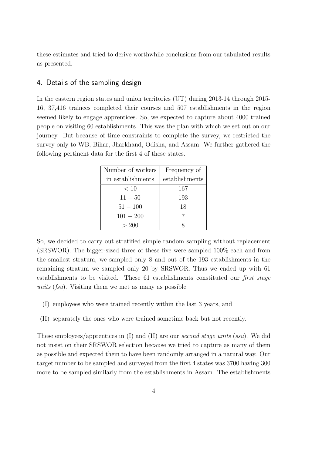these estimates and tried to derive worthwhile conclusions from our tabulated results as presented.

#### 4. Details of the sampling design

In the eastern region states and union territories (UT) during 2013-14 through 2015- 16, 37,416 trainees completed their courses and 507 establishments in the region seemed likely to engage apprentices. So, we expected to capture about 4000 trained people on visiting 60 establishments. This was the plan with which we set out on our journey. But because of time constraints to complete the survey, we restricted the survey only to WB, Bihar, Jharkhand, Odisha, and Assam. We further gathered the following pertinent data for the first 4 of these states.

| Number of workers | Frequency of   |
|-------------------|----------------|
| in establishments | establishments |
| < 10              | 167            |
| $11 - 50$         | 193            |
| $51 - 100$        | 18             |
| $101 - 200$       |                |
| > 200             |                |

So, we decided to carry out stratified simple random sampling without replacement (SRSWOR). The bigger-sized three of these five were sampled 100% each and from the smallest stratum, we sampled only 8 and out of the 193 establishments in the remaining stratum we sampled only 20 by SRSWOR. Thus we ended up with 61 establishments to be visited. These 61 establishments constituted our first stage units (fsu). Visiting them we met as many as possible

- (I) employees who were trained recently within the last 3 years, and
- (II) separately the ones who were trained sometime back but not recently.

These employees/apprentices in (I) and (II) are our *second stage units (ssu)*. We did not insist on their SRSWOR selection because we tried to capture as many of them as possible and expected them to have been randomly arranged in a natural way. Our target number to be sampled and surveyed from the first 4 states was 3700 having 300 more to be sampled similarly from the establishments in Assam. The establishments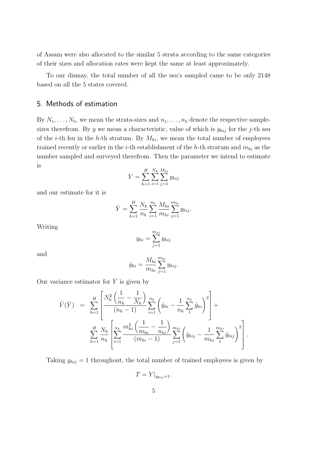of Assam were also allocated to the similar 5 strata according to the same categories of their sizes and allocation rates were kept the same at least approximately.

To our dismay, the total number of all the ssu's sampled came to be only 2148 based on all the 5 states covered.

#### 5. Methods of estimation

By  $N_1, \ldots, N_5$ , we mean the strata-sizes and  $n_1, \ldots, n_5$  denote the respective samplesizes therefrom. By y we mean a characteristic, value of which is  $y_{hi}$  for the j-th ssu of the *i*-th fsu in the *h*-th stratum. By  $M_{hi}$ , we mean the total number of employees trained recently or earlier in the *i*-th establishment of the *h*-th stratum and  $m_{hi}$  as the number sampled and surveyed therefrom. Then the parameter we intend to estimate is

$$
Y = \sum_{h=1}^{H} \sum_{i=1}^{N_h} \sum_{j=1}^{M_{hi}} y_{hij}
$$

and our estimate for it is

$$
\hat{Y} = \sum_{h=1}^{H} \frac{N_h}{n_h} \sum_{i=1}^{n_h} \frac{M_{hi}}{m_{hi}} \sum_{j=1}^{m_{hi}} y_{hij}.
$$

Writing

$$
y_{hi} = \sum_{j=1}^{m_{hi}} y_{hij}
$$

and

$$
\hat{y}_{hi} = \frac{M_{hi}}{m_{hi}} \sum_{j=1}^{m_{hi}} y_{hij}.
$$

Our variance estimator for  $\hat{Y}$  is given by

$$
\hat{V}(\hat{Y}) = \sum_{h=1}^{H} \left[ \frac{N_h^2 \left( \frac{1}{n_h} - \frac{1}{N_h} \right)}{(n_h - 1)} \sum_{i=1}^{n_h} \left( \hat{y}_{hi} - \frac{1}{n_h} \sum_{1}^{n_h} \hat{y}_{hi} \right)^2 \right] + \sum_{h=1}^{H} \frac{N_h}{n_h} \left[ \sum_{i=1}^{n_h} \frac{m_{hi}^2 \left( \frac{1}{m_{hi}} - \frac{1}{n_{hi}} \right)}{(m_{hi} - 1)} \sum_{j=1}^{m_{hi}} \left( \hat{y}_{hij} - \frac{1}{m_{hi}} \sum_{1}^{m_{hi}} \hat{y}_{hij} \right)^2 \right].
$$

Taking  $y_{hij} = 1$  throughout, the total number of trained employees is given by

$$
T = Y|_{y_{hij}=1}.
$$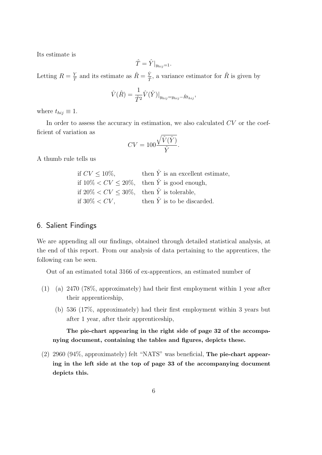Its estimate is

$$
\hat{T} = \hat{Y}|_{y_{hij}=1}.
$$

Letting  $R = \frac{Y}{7}$  $\frac{Y}{T}$  and its estimate as  $\hat{R} = \frac{\hat{Y}}{\hat{T}}$  $\frac{\hat{Y}}{\hat{T}}$ , a variance estimator for  $\hat{R}$  is given by

$$
\hat{V}(\hat{R}) = \frac{1}{\hat{T}^2} \hat{V}(\hat{Y})|_{y_{hij} = y_{hij} - \hat{R}t_{hij}},
$$

where  $t_{hij} \equiv 1$ .

In order to assess the accuracy in estimation, we also calculated  $CV$  or the coefficient of variation as

$$
CV = 100 \frac{\sqrt{\hat{V}(\hat{Y})}}{\hat{Y}}.
$$

A thumb rule tells us

| if $CV < 10\%$ ,                                     | then $\hat{Y}$ is an excellent estimate,                  |
|------------------------------------------------------|-----------------------------------------------------------|
|                                                      | if $10\% < CV \leq 20\%$ , then $\hat{Y}$ is good enough, |
| if $20\% < CV < 30\%$ , then $\hat{Y}$ is tolerable, |                                                           |
| if $30\% < CV$ ,                                     | then $\hat{Y}$ is to be discarded.                        |

#### 6. Salient Findings

We are appending all our findings, obtained through detailed statistical analysis, at the end of this report. From our analysis of data pertaining to the apprentices, the following can be seen.

Out of an estimated total 3166 of ex-apprentices, an estimated number of

- (1) (a) 2470 (78%, approximately) had their first employment within 1 year after their apprenticeship,
	- (b) 536 (17%, approximately) had their first employment within 3 years but after 1 year, after their apprenticeship,

The pie-chart appearing in the right side of page 32 of the accompanying document, containing the tables and figures, depicts these.

(2) 2960 (94%, approximately) felt "NATS" was beneficial, The pie-chart appearing in the left side at the top of page 33 of the accompanying document depicts this.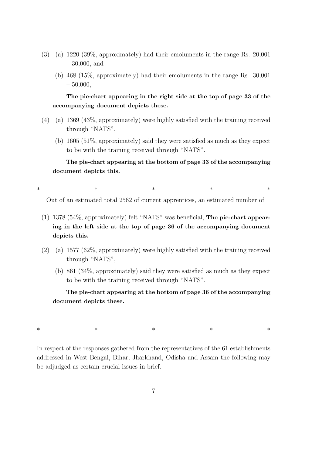- (3) (a) 1220 (39%, approximately) had their emoluments in the range Rs. 20,001 – 30,000, and
	- (b) 468 (15%, approximately) had their emoluments in the range Rs. 30,001  $-50,000,$

The pie-chart appearing in the right side at the top of page 33 of the accompanying document depicts these.

- (4) (a) 1369 (43%, approximately) were highly satisfied with the training received through "NATS",
	- (b) 1605 (51%, approximately) said they were satisfied as much as they expect to be with the training received through "NATS".

The pie-chart appearing at the bottom of page 33 of the accompanying document depicts this.

∗ ∗ ∗ ∗ ∗

Out of an estimated total 2562 of current apprentices, an estimated number of

- (1) 1378 (54%, approximately) felt "NATS" was beneficial, The pie-chart appearing in the left side at the top of page 36 of the accompanying document depicts this.
- (2) (a) 1577 (62%, approximately) were highly satisfied with the training received through "NATS",
	- (b) 861 (34%, approximately) said they were satisfied as much as they expect to be with the training received through "NATS".

The pie-chart appearing at the bottom of page 36 of the accompanying document depicts these.

∗ ∗ ∗ ∗ ∗

In respect of the responses gathered from the representatives of the 61 establishments addressed in West Bengal, Bihar, Jharkhand, Odisha and Assam the following may be adjudged as certain crucial issues in brief.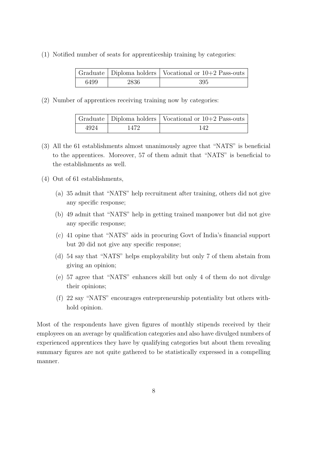(1) Notified number of seats for apprenticeship training by categories:

|      |        | Graduate   Diploma holders   Vocational or $10+2$ Pass-outs |
|------|--------|-------------------------------------------------------------|
| 6499 | -2836- | 395                                                         |

(2) Number of apprentices receiving training now by categories:

|      |       | Graduate   Diploma holders   Vocational or 10+2 Pass-outs |
|------|-------|-----------------------------------------------------------|
| 4924 | 1472. | 142                                                       |

- (3) All the 61 establishments almost unanimously agree that "NATS" is beneficial to the apprentices. Moreover, 57 of them admit that "NATS" is beneficial to the establishments as well.
- (4) Out of 61 establishments,
	- (a) 35 admit that "NATS" help recruitment after training, others did not give any specific response;
	- (b) 49 admit that "NATS" help in getting trained manpower but did not give any specific response;
	- (c) 41 opine that "NATS" aids in procuring Govt of India's financial support but 20 did not give any specific response;
	- (d) 54 say that "NATS" helps employability but only 7 of them abstain from giving an opinion;
	- (e) 57 agree that "NATS" enhances skill but only 4 of them do not divulge their opinions;
	- (f) 22 say "NATS" encourages entrepreneurship potentiality but others withhold opinion.

Most of the respondents have given figures of monthly stipends received by their employees on an average by qualification categories and also have divulged numbers of experienced apprentices they have by qualifying categories but about them revealing summary figures are not quite gathered to be statistically expressed in a compelling manner.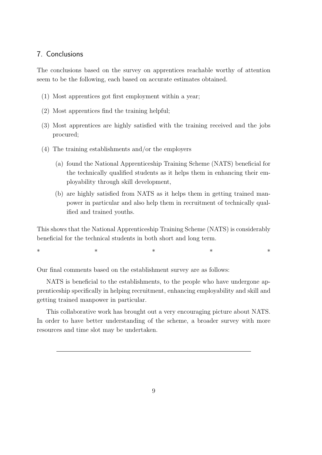#### 7. Conclusions

The conclusions based on the survey on apprentices reachable worthy of attention seem to be the following, each based on accurate estimates obtained.

- (1) Most apprentices got first employment within a year;
- (2) Most apprentices find the training helpful;
- (3) Most apprentices are highly satisfied with the training received and the jobs procured;
- (4) The training establishments and/or the employers
	- (a) found the National Apprenticeship Training Scheme (NATS) beneficial for the technically qualified students as it helps them in enhancing their employability through skill development,
	- (b) are highly satisfied from NATS as it helps them in getting trained manpower in particular and also help them in recruitment of technically qualified and trained youths.

This shows that the National Apprenticeship Training Scheme (NATS) is considerably beneficial for the technical students in both short and long term.

∗ ∗ ∗ ∗ ∗

Our final comments based on the establishment survey are as follows:

NATS is beneficial to the establishments, to the people who have undergone apprenticeship specifically in helping recruitment, enhancing employability and skill and getting trained manpower in particular.

This collaborative work has brought out a very encouraging picture about NATS. In order to have better understanding of the scheme, a broader survey with more resources and time slot may be undertaken.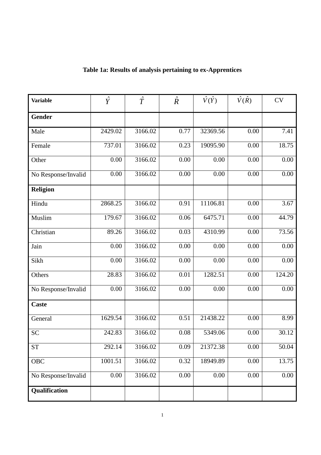| <b>Variable</b>     | $\hat{Y}$         | $\hat{T}$ | $\hat{R}$         | $\hat{V}(\hat{Y})$ | $\hat{V}(\hat{R})$ | <b>CV</b>         |
|---------------------|-------------------|-----------|-------------------|--------------------|--------------------|-------------------|
| <b>Gender</b>       |                   |           |                   |                    |                    |                   |
| Male                | 2429.02           | 3166.02   | 0.77              | 32369.56           | 0.00               | 7.41              |
| Female              | 737.01            | 3166.02   | 0.23              | 19095.90           | 0.00               | 18.75             |
| Other               | 0.00              | 3166.02   | 0.00              | 0.00               | 0.00               | $\overline{0.00}$ |
| No Response/Invalid | 0.00              | 3166.02   | 0.00              | 0.00               | 0.00               | 0.00              |
| <b>Religion</b>     |                   |           |                   |                    |                    |                   |
| Hindu               | 2868.25           | 3166.02   | 0.91              | 11106.81           | 0.00               | 3.67              |
| Muslim              | 179.67            | 3166.02   | 0.06              | 6475.71            | 0.00               | 44.79             |
| Christian           | 89.26             | 3166.02   | 0.03              | 4310.99            | 0.00               | 73.56             |
| Jain                | $\overline{0.00}$ | 3166.02   | 0.00              | 0.00               | 0.00               | 0.00              |
| Sikh                | 0.00              | 3166.02   | $0.00\,$          | 0.00               | 0.00               | $0.00\,$          |
| Others              | 28.83             | 3166.02   | 0.01              | 1282.51            | 0.00               | 124.20            |
| No Response/Invalid | 0.00              | 3166.02   | 0.00              | 0.00               | $\overline{0.00}$  | 0.00              |
| <b>Caste</b>        |                   |           |                   |                    |                    |                   |
| General             | 1629.54           | 3166.02   | 0.51              | 21438.22           | 0.00               | 8.99              |
| <b>SC</b>           | 242.83            | 3166.02   | $\overline{0.08}$ | 5349.06            | 0.00               | 30.12             |
| <b>ST</b>           | 292.14            | 3166.02   | 0.09              | 21372.38           | 0.00               | 50.04             |
| OBC                 | 1001.51           | 3166.02   | 0.32              | 18949.89           | 0.00               | 13.75             |
| No Response/Invalid | 0.00              | 3166.02   | 0.00              | 0.00               | 0.00               | 0.00              |
| Qualification       |                   |           |                   |                    |                    |                   |

### **Table 1a: Results of analysis pertaining to ex-Apprentices**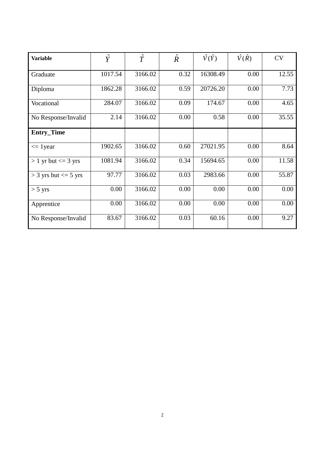| <b>Variable</b>            | $\hat{Y}$ | $\hat{T}$ | $\hat{R}$ | $\hat{V}(\hat{Y})$ | $\hat{V}(\hat{R})$ | <b>CV</b> |
|----------------------------|-----------|-----------|-----------|--------------------|--------------------|-----------|
| Graduate                   | 1017.54   | 3166.02   | 0.32      | 16308.49           | 0.00               | 12.55     |
| Diploma                    | 1862.28   | 3166.02   | 0.59      | 20726.20           | 0.00               | 7.73      |
| Vocational                 | 284.07    | 3166.02   | 0.09      | 174.67             | 0.00               | 4.65      |
| No Response/Invalid        | 2.14      | 3166.02   | 0.00      | 0.58               | 0.00               | 35.55     |
| <b>Entry_Time</b>          |           |           |           |                    |                    |           |
| $\leq$ 1 year              | 1902.65   | 3166.02   | 0.60      | 27021.95           | 0.00               | 8.64      |
| $> 1$ yr but $\leq$ 3 yrs  | 1081.94   | 3166.02   | 0.34      | 15694.65           | 0.00               | 11.58     |
| $>$ 3 yrs but $\leq$ 5 yrs | 97.77     | 3166.02   | 0.03      | 2983.66            | 0.00               | 55.87     |
| $> 5 \text{ yrs}$          | 0.00      | 3166.02   | 0.00      | 0.00               | 0.00               | 0.00      |
| Apprentice                 | 0.00      | 3166.02   | 0.00      | 0.00               | 0.00               | 0.00      |
| No Response/Invalid        | 83.67     | 3166.02   | 0.03      | 60.16              | 0.00               | 9.27      |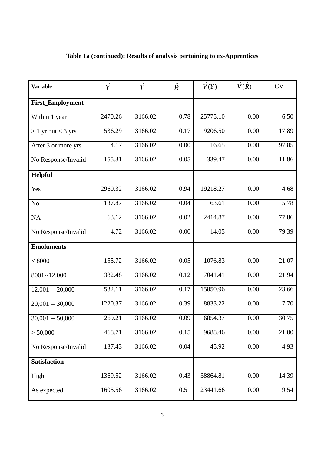| <b>Variable</b>      | $\hat{Y}$ | $\hat{T}$ | $\hat{R}$ | $\hat{V}(\hat{Y})$ | $\hat{V}(\hat{R})$ | <b>CV</b> |
|----------------------|-----------|-----------|-----------|--------------------|--------------------|-----------|
| First_Employment     |           |           |           |                    |                    |           |
| Within 1 year        | 2470.26   | 3166.02   | 0.78      | 25775.10           | 0.00               | 6.50      |
| $> 1$ yr but < 3 yrs | 536.29    | 3166.02   | 0.17      | 9206.50            | 0.00               | 17.89     |
| After 3 or more yrs  | 4.17      | 3166.02   | 0.00      | 16.65              | 0.00               | 97.85     |
| No Response/Invalid  | 155.31    | 3166.02   | 0.05      | 339.47             | 0.00               | 11.86     |
| Helpful              |           |           |           |                    |                    |           |
| Yes                  | 2960.32   | 3166.02   | 0.94      | 19218.27           | 0.00               | 4.68      |
| N <sub>o</sub>       | 137.87    | 3166.02   | 0.04      | 63.61              | 0.00               | 5.78      |
| <b>NA</b>            | 63.12     | 3166.02   | 0.02      | 2414.87            | 0.00               | 77.86     |
| No Response/Invalid  | 4.72      | 3166.02   | 0.00      | 14.05              | 0.00               | 79.39     |
| <b>Emoluments</b>    |           |           |           |                    |                    |           |
| < 8000               | 155.72    | 3166.02   | 0.05      | 1076.83            | 0.00               | 21.07     |
| 8001--12,000         | 382.48    | 3166.02   | 0.12      | 7041.41            | 0.00               | 21.94     |
| $12,001 - 20,000$    | 532.11    | 3166.02   | 0.17      | 15850.96           | $\overline{0.00}$  | 23.66     |
| $20,001 - 30,000$    | 1220.37   | 3166.02   | 0.39      | 8833.22            | 0.00               | 7.70      |
| $30,001 - 50,000$    | 269.21    | 3166.02   | 0.09      | 6854.37            | 0.00               | 30.75     |
| > 50,000             | 468.71    | 3166.02   | 0.15      | 9688.46            | 0.00               | 21.00     |
| No Response/Invalid  | 137.43    | 3166.02   | 0.04      | 45.92              | 0.00               | 4.93      |
| <b>Satisfaction</b>  |           |           |           |                    |                    |           |
| High                 | 1369.52   | 3166.02   | 0.43      | 38864.81           | 0.00               | 14.39     |
| As expected          | 1605.56   | 3166.02   | 0.51      | 23441.66           | 0.00               | 9.54      |

## **Table 1a (continued): Results of analysis pertaining to ex-Apprentices**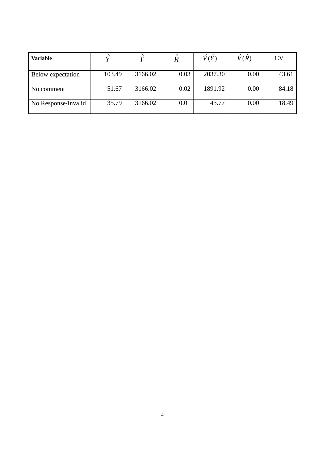| Variable            | $\hat{\phantom{a}}$ | $\ddot{\phantom{1}}$ | $\sim$ | V(Y)    | V(R) | CV    |
|---------------------|---------------------|----------------------|--------|---------|------|-------|
| Below expectation   | 103.49              | 3166.02              | 0.03   | 2037.30 | 0.00 | 43.61 |
| No comment          | 51.67               | 3166.02              | 0.02   | 1891.92 | 0.00 | 84.18 |
| No Response/Invalid | 35.79               | 3166.02              | 0.01   | 43.77   | 0.00 | 18.49 |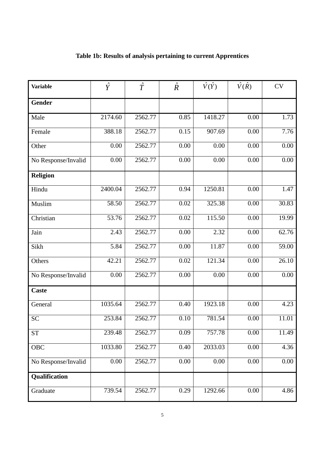| <b>Variable</b>     | $\hat{Y}$ | $\hat{T}$ | $\hat{R}$         | $\hat{V}(\hat{Y})$ | $\hat{V}(\hat{R})$ | <b>CV</b>             |
|---------------------|-----------|-----------|-------------------|--------------------|--------------------|-----------------------|
| <b>Gender</b>       |           |           |                   |                    |                    |                       |
| Male                | 2174.60   | 2562.77   | 0.85              | 1418.27            | 0.00               | 1.73                  |
| Female              | 388.18    | 2562.77   | 0.15              | 907.69             | 0.00               | 7.76                  |
| Other               | 0.00      | 2562.77   | 0.00              | 0.00               | 0.00               | 0.00                  |
| No Response/Invalid | 0.00      | 2562.77   | 0.00              | 0.00               | 0.00               | 0.00                  |
| <b>Religion</b>     |           |           |                   |                    |                    |                       |
| Hindu               | 2400.04   | 2562.77   | 0.94              | 1250.81            | 0.00               | 1.47                  |
| Muslim              | 58.50     | 2562.77   | 0.02              | 325.38             | 0.00               | 30.83                 |
| Christian           | 53.76     | 2562.77   | 0.02              | 115.50             | 0.00               | 19.99                 |
| Jain                | 2.43      | 2562.77   | 0.00              | 2.32               | 0.00               | 62.76                 |
| Sikh                | 5.84      | 2562.77   | $\overline{0.00}$ | 11.87              | 0.00               | $\frac{59.00}{59.00}$ |
| Others              | 42.21     | 2562.77   | 0.02              | 121.34             | 0.00               | 26.10                 |
| No Response/Invalid | 0.00      | 2562.77   | 0.00              | 0.00               | 0.00               | 0.00                  |
| <b>Caste</b>        |           |           |                   |                    |                    |                       |
| General             | 1035.64   | 2562.77   | 0.40              | 1923.18            | 0.00               | 4.23                  |
| <b>SC</b>           | 253.84    | 2562.77   | $\overline{0.10}$ | 781.54             | $0.00\,$           | 11.01                 |
| <b>ST</b>           | 239.48    | 2562.77   | 0.09              | 757.78             | 0.00               | 11.49                 |
| OBC                 | 1033.80   | 2562.77   | 0.40              | 2033.03            | 0.00               | 4.36                  |
| No Response/Invalid | 0.00      | 2562.77   | 0.00              | 0.00               | 0.00               | 0.00                  |
| Qualification       |           |           |                   |                    |                    |                       |
| Graduate            | 739.54    | 2562.77   | 0.29              | 1292.66            | 0.00               | 4.86                  |

## **Table 1b: Results of analysis pertaining to current Apprentices**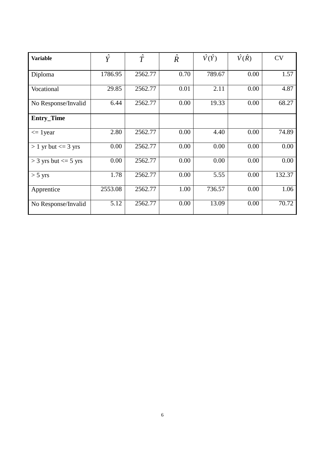| <b>Variable</b>            | $\hat{Y}$ | $\hat{T}$ | $\hat{R}$ | $\hat{V}(\hat{Y})$ | $\hat{V}(\hat{R})$ | <b>CV</b> |
|----------------------------|-----------|-----------|-----------|--------------------|--------------------|-----------|
| Diploma                    | 1786.95   | 2562.77   | 0.70      | 789.67             | 0.00               | 1.57      |
| Vocational                 | 29.85     | 2562.77   | 0.01      | 2.11               | 0.00               | 4.87      |
| No Response/Invalid        | 6.44      | 2562.77   | 0.00      | 19.33              | 0.00               | 68.27     |
| <b>Entry_Time</b>          |           |           |           |                    |                    |           |
| $\leq$ 1 year              | 2.80      | 2562.77   | 0.00      | 4.40               | 0.00               | 74.89     |
| $> 1$ yr but $<= 3$ yrs    | 0.00      | 2562.77   | 0.00      | 0.00               | 0.00               | 0.00      |
| $>$ 3 yrs but $\leq$ 5 yrs | 0.00      | 2562.77   | 0.00      | 0.00               | 0.00               | 0.00      |
| $>$ 5 yrs                  | 1.78      | 2562.77   | 0.00      | 5.55               | 0.00               | 132.37    |
| Apprentice                 | 2553.08   | 2562.77   | 1.00      | 736.57             | 0.00               | 1.06      |
| No Response/Invalid        | 5.12      | 2562.77   | 0.00      | 13.09              | 0.00               | 70.72     |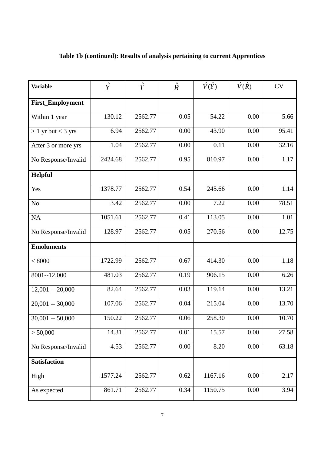| <b>Variable</b>      | $\hat{Y}$ | $\hat{T}$ | $\hat{R}$ | $\hat{V}(\hat{Y})$ | $\hat{V}(\hat{R})$ | <b>CV</b>          |
|----------------------|-----------|-----------|-----------|--------------------|--------------------|--------------------|
| First_Employment     |           |           |           |                    |                    |                    |
| Within 1 year        | 130.12    | 2562.77   | 0.05      | 54.22              | 0.00               | 5.66               |
| $> 1$ yr but < 3 yrs | 6.94      | 2562.77   | 0.00      | 43.90              | 0.00               | 95.41              |
| After 3 or more yrs  | 1.04      | 2562.77   | 0.00      | 0.11               | 0.00               | 32.16              |
| No Response/Invalid  | 2424.68   | 2562.77   | 0.95      | 810.97             | 0.00               | 1.17               |
| Helpful              |           |           |           |                    |                    |                    |
| Yes                  | 1378.77   | 2562.77   | 0.54      | 245.66             | 0.00               | 1.14               |
| N <sub>o</sub>       | 3.42      | 2562.77   | 0.00      | 7.22               | 0.00               | 78.51              |
| NA                   | 1051.61   | 2562.77   | 0.41      | 113.05             | 0.00               | 1.01               |
| No Response/Invalid  | 128.97    | 2562.77   | 0.05      | 270.56             | 0.00               | 12.75              |
| <b>Emoluments</b>    |           |           |           |                    |                    |                    |
| < 8000               | 1722.99   | 2562.77   | 0.67      | 414.30             | 0.00               | 1.18               |
| 8001--12,000         | 481.03    | 2562.77   | 0.19      | 906.15             | 0.00               | 6.26               |
| $12,001 - 20,000$    | 82.64     | 2562.77   | 0.03      | 119.14             | 0.00               | 13.21              |
| $20,001 - 30,000$    | 107.06    | 2562.77   | 0.04      | 215.04             | 0.00               | 13.70              |
| $30,001 - 50,000$    | 150.22    | 2562.77   | 0.06      | 258.30             | 0.00               | 10.70              |
| > 50,000             | 14.31     | 2562.77   | 0.01      | 15.57              | 0.00               | 27.58              |
| No Response/Invalid  | 4.53      | 2562.77   | 0.00      | 8.20               | 0.00               | $\overline{6}3.18$ |
| <b>Satisfaction</b>  |           |           |           |                    |                    |                    |
| High                 | 1577.24   | 2562.77   | 0.62      | 1167.16            | 0.00               | 2.17               |
| As expected          | 861.71    | 2562.77   | 0.34      | 1150.75            | 0.00               | 3.94               |

## **Table 1b (continued): Results of analysis pertaining to current Apprentices**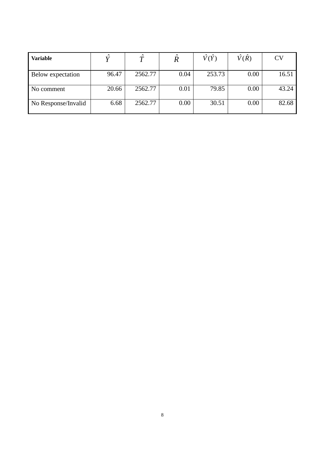| <b>Variable</b>     | $\hat{\phantom{a}}$ | $\ddot{\phantom{1}}$ | $\sim$ | V(Y)   | V(R) | CV    |
|---------------------|---------------------|----------------------|--------|--------|------|-------|
| Below expectation   | 96.47               | 2562.77              | 0.04   | 253.73 | 0.00 | 16.51 |
| No comment          | 20.66               | 2562.77              | 0.01   | 79.85  | 0.00 | 43.24 |
| No Response/Invalid | 6.68                | 2562.77              | 0.00   | 30.51  | 0.00 | 82.68 |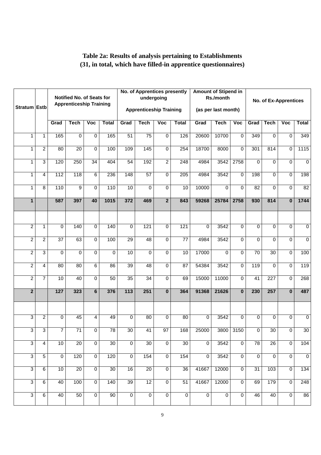### **Table 2a: Results of analysis pertaining to Establishments (31, in total, which have filled-in apprentice questionnaires)**

|                |                |                  |                                                             |                   |                 |                  | <b>No. of Apprentices presently</b> |                         |                 |                | <b>Amount of Stipend in</b> |                         |                 |                 |                         |                |
|----------------|----------------|------------------|-------------------------------------------------------------|-------------------|-----------------|------------------|-------------------------------------|-------------------------|-----------------|----------------|-----------------------------|-------------------------|-----------------|-----------------|-------------------------|----------------|
|                |                |                  | Notified No. of Seats for<br><b>Apprenticeship Training</b> |                   |                 |                  | undergoing                          |                         |                 |                | Rs./month                   |                         |                 |                 | No. of Ex-Apprentices   |                |
| Stratum Estb   |                |                  |                                                             |                   |                 |                  | <b>Apprenticeship Training</b>      |                         |                 |                | (as per last month)         |                         |                 |                 |                         |                |
|                |                | Grad             | <b>Tech</b>                                                 | $\overline{V}$ oc | <b>Total</b>    | Grad             | <b>Tech</b>                         | $\overline{\text{Voc}}$ | <b>Total</b>    | Grad           | <b>Tech</b>                 | $\overline{V}$ oc       | Grad            | <b>Tech</b>     | $\overline{\text{Voc}}$ | <b>Total</b>   |
| 1              | $\mathbf{1}$   | 165              | $\Omega$                                                    | $\mathbf 0$       | 165             | 51               | 75                                  | $\mathbf 0$             | 126             | 20600          | 10700                       | $\mathbf 0$             | 349             | $\Omega$        | $\Omega$                | 349            |
| 1              | $\overline{2}$ | 80               | $\overline{20}$                                             | $\mathbf 0$       | 100             | 109              | 145                                 | $\mathbf 0$             | 254             | 18700          | 8000                        | $\Omega$                | 301             | 814             | $\mathbf 0$             | 1115           |
| $\mathbf{1}$   | $\overline{3}$ | 120              | 250                                                         | 34                | 404             | 54               | 192                                 | $\overline{2}$          | 248             | 4984           | 3542                        | 2758                    | $\Omega$        | $\Omega$        | $\Omega$                | $\mathbf 0$    |
| $\mathbf{1}$   | 4              | 112              | 118                                                         | $\overline{6}$    | 236             | 148              | 57                                  | 0                       | 205             | 4984           | 3542                        | $\overline{0}$          | 198             | $\Omega$        | $\mathbf 0$             | 198            |
| $\mathbf{1}$   | $\overline{8}$ | $\overline{110}$ | 9                                                           | $\mathbf 0$       | 110             | 10               | $\overline{0}$                      | 0                       | 10              | 10000          | $\Omega$                    | $\Omega$                | 82              | $\Omega$        | $\mathbf 0$             | 82             |
| $\mathbf{1}$   |                | 587              | 397                                                         | 40                | 1015            | 372              | 469                                 | $\overline{2}$          | 843             | 59268          | 25784                       | 2758                    | 930             | 814             | $\bf{0}$                | 1744           |
|                |                |                  |                                                             |                   |                 |                  |                                     |                         |                 |                |                             |                         |                 |                 |                         |                |
| $\overline{2}$ | $\mathbf{1}$   | 0                | 140                                                         | $\overline{0}$    | 140             | 0                | 121                                 | 0                       | 121             | $\Omega$       | 3542                        | $\Omega$                | $\Omega$        | $\Omega$        | $\mathbf 0$             | $\overline{0}$ |
| $\overline{2}$ | 2              | $\overline{37}$  | 63                                                          | $\mathbf 0$       | 100             | 29               | 48                                  | 0                       | $\overline{77}$ | 4984           | 3542                        | $\Omega$                | $\Omega$        | $\Omega$        | 0                       | 0              |
| $\overline{2}$ | 3              | $\Omega$         | $\Omega$                                                    | $\mathbf 0$       | $\Omega$        | 10               | $\overline{0}$                      | $\Omega$                | 10              | 17000          | $\Omega$                    | $\mathbf 0$             | $\overline{70}$ | $\overline{30}$ | $\overline{0}$          | 100            |
| $\overline{2}$ | $\overline{4}$ | $\overline{80}$  | $\overline{80}$                                             | $\overline{6}$    | 86              | 39               | 48                                  | $\mathbf 0$             | 87              | 54384          | 3542                        | $\mathbf 0$             | 119             | $\Omega$        | $\mathbf 0$             | 119            |
| $\overline{2}$ | $\overline{7}$ | 10               | 40                                                          | $\mathbf 0$       | 50              | 35               | 34                                  | $\mathbf 0$             | 69              | 15000          | 11000                       | $\Omega$                | 41              | 227             | $\mathbf 0$             | 268            |
| $\overline{2}$ |                | $\overline{127}$ | 323                                                         | $6\phantom{1}$    | 376             | $\overline{113}$ | 251                                 | $\mathbf{0}$            | 364             | 91368          | 21626                       | $\overline{\mathbf{0}}$ | 230             | 257             | $\overline{\mathbf{0}}$ | 487            |
|                |                |                  |                                                             |                   |                 |                  |                                     |                         |                 |                |                             |                         |                 |                 |                         |                |
| $\overline{3}$ | $\overline{2}$ | 0                | 45                                                          | $\overline{4}$    | 49              | $\Omega$         | 80                                  | $\Omega$                | 80              | $\Omega$       | 3542                        | $\Omega$                | $\Omega$        | $\Omega$        | $\Omega$                | $\Omega$       |
| $\overline{3}$ | 3              | $\overline{7}$   | $\overline{71}$                                             | $\overline{0}$    | 78              | 30 <sup>2</sup>  | 41                                  | 97                      | 168             | 25000          |                             | 3800 3150               | $\overline{0}$  | 30              | $\overline{0}$          | 30             |
| $\overline{3}$ | $\overline{4}$ | 10               | 20                                                          | $\overline{0}$    | 30              | $\overline{0}$   | 30                                  | $\overline{0}$          | 30              | $\overline{0}$ | 3542                        | $\overline{0}$          | 78              | 26              | $\overline{0}$          | 104            |
| $\overline{3}$ | $\overline{5}$ | $\overline{0}$   | 120                                                         | $\overline{0}$    | 120             | $\overline{0}$   | 154                                 | $\overline{0}$          | 154             | $\overline{0}$ | 3542                        | $\overline{0}$          | $\overline{0}$  | $\overline{0}$  | $\overline{0}$          | $\overline{0}$ |
| $\overline{3}$ | $\overline{6}$ | 10               | $\overline{20}$                                             | $\overline{0}$    | $\overline{30}$ | 16               | $\overline{20}$                     | $\overline{0}$          | $\overline{36}$ | 41667          | 12000                       | $\overline{0}$          | $\overline{31}$ | 103             | $\overline{0}$          | 134            |
| $\overline{3}$ | 6              | 40               | 100                                                         | $\overline{0}$    | 140             | 39               | 12                                  | $\overline{0}$          | 51              | 41667          | 12000                       | $\overline{0}$          | 69              | 179             | $\overline{0}$          | 248            |
| $\overline{3}$ | 6              | 40               | 50                                                          | $\overline{0}$    | 90              | $\overline{0}$   | $\overline{0}$                      | $\overline{0}$          | $\overline{0}$  | $\overline{0}$ | $\overline{0}$              | $\overline{0}$          | 46              | 40              | $\overline{0}$          | 86             |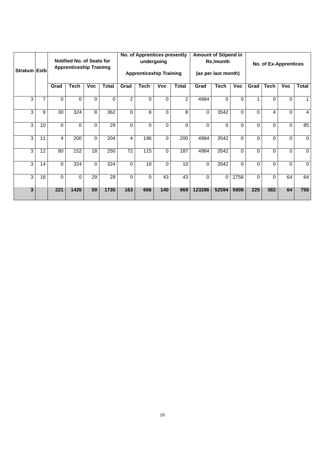| Stratum Estb |    |      | <b>Notified No. of Seats for</b><br><b>Apprenticeship Training</b> |             |          |                 | <b>No. of Apprentices presently</b><br><b>Apprenticeship Training</b> | undergoing |                |          | <b>Amount of Stipend in</b><br>Rs./month<br>(as per last month) |          |          |             | No. of Ex-Apprentices |                |
|--------------|----|------|--------------------------------------------------------------------|-------------|----------|-----------------|-----------------------------------------------------------------------|------------|----------------|----------|-----------------------------------------------------------------|----------|----------|-------------|-----------------------|----------------|
|              |    | Grad | Tech                                                               | Voc         | Total    | Grad            | Tech                                                                  | <b>Voc</b> | <b>Total</b>   | Grad     | <b>Tech</b>                                                     | Voc      | Grad     | <b>Tech</b> | <b>Voc</b>            | Total          |
| 3            | 7  | 0    | $\Omega$                                                           | $\Omega$    | $\Omega$ | $\overline{2}$  | $\Omega$                                                              | 0          | $\overline{2}$ | 4984     | $\Omega$                                                        | $\Omega$ | 1        | $\Omega$    | $\Omega$              | 1              |
| 3            | 9  | 30   | 324                                                                | 8           | 362      | $\Omega$        | 8                                                                     | 0          | 8              | $\Omega$ | 3542                                                            | $\Omega$ | 0        | 4           | $\Omega$              | $\overline{4}$ |
| 3            | 10 | 0    | $\Omega$                                                           | $\Omega$    | 29       | $\Omega$        | $\Omega$                                                              | 0          | $\Omega$       | $\Omega$ | $\Omega$                                                        | $\Omega$ | $\Omega$ | $\Omega$    | $\Omega$              | 85             |
| 3            | 11 | 4    | 200                                                                | $\mathbf 0$ | 204      | 4               | 196                                                                   | 0          | 200            | 4984     | 3542                                                            | $\Omega$ | 0        | 0           | $\Omega$              | $\mathbf 0$    |
| 3            | 12 | 80   | 152                                                                | 18          | 250      | $\overline{72}$ | 115                                                                   | 0          | 187            | 4984     | 3542                                                            | $\Omega$ | 0        | 0           | $\Omega$              | $\mathbf 0$    |
| 3            | 14 | 0    | 324                                                                | $\Omega$    | 324      | $\Omega$        | 10                                                                    | 0          | 10             | $\Omega$ | 3542                                                            | $\Omega$ | $\Omega$ | $\Omega$    | $\Omega$              | $\Omega$       |
| 3            | 18 | 0    | $\Omega$                                                           | 29          | 29       | $\Omega$        | $\Omega$                                                              | 43         | 43             | $\Omega$ | $\Omega$                                                        | 2758     | 0        | $\Omega$    | 64                    | 64             |
| 3            |    | 221  | 1426                                                               | 59          | 1735     | 163             | 666                                                                   | 140        | 969            | 123286   | 52594                                                           | 5908     | 225      | 382         | 64                    | 756            |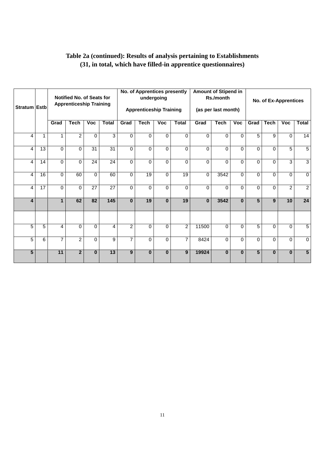| Table 2a (continued): Results of analysis pertaining to Establishments |  |
|------------------------------------------------------------------------|--|
| (31, in total, which have filled-in apprentice questionnaires)         |  |

| <b>Stratum Estb</b> |    |                | Notified No. of Seats for<br><b>Apprenticeship Training</b> |             |                  |                | No. of Apprentices presently<br>undergoing<br><b>Apprenticeship Training</b> |              |                |          | <b>Amount of Stipend in</b><br>Rs./month<br>(as per last month) |            |                 | <b>No. of Ex-Apprentices</b> |                |                 |
|---------------------|----|----------------|-------------------------------------------------------------|-------------|------------------|----------------|------------------------------------------------------------------------------|--------------|----------------|----------|-----------------------------------------------------------------|------------|-----------------|------------------------------|----------------|-----------------|
|                     |    | Grad           | <b>Tech</b>                                                 | <b>Voc</b>  | <b>Total</b>     | Grad           | <b>Tech</b>                                                                  | <b>Voc</b>   | <b>Total</b>   | Grad     | <b>Tech</b>                                                     | <b>Voc</b> | Grad            | <b>Tech</b>                  | <b>Voc</b>     | <b>Total</b>    |
| 4                   | 1  | 1              | 2                                                           | $\mathbf 0$ | 3                | $\Omega$       | 0                                                                            | $\mathbf 0$  | $\Omega$       | $\Omega$ | $\Omega$                                                        | $\Omega$   | 5               | 9                            | $\mathbf 0$    | 14              |
| 4                   | 13 | $\Omega$       | $\Omega$                                                    | 31          | $\overline{31}$  | $\Omega$       | $\Omega$                                                                     | $\Omega$     | 0              | $\Omega$ | $\Omega$                                                        | 0          | $\Omega$        | $\Omega$                     | 5              | 5               |
| 4                   | 14 | $\Omega$       | $\Omega$                                                    | 24          | 24               | $\Omega$       | 0                                                                            | $\mathbf{0}$ | 0              | $\Omega$ | $\Omega$                                                        | 0          | $\Omega$        | $\Omega$                     | $\overline{3}$ | $\overline{3}$  |
| 4                   | 16 | $\Omega$       | 60                                                          | $\Omega$    | 60               | $\Omega$       | 19                                                                           | $\Omega$     | 19             | $\Omega$ | 3542                                                            | $\Omega$   | $\Omega$        | $\Omega$                     | $\Omega$       | $\mathbf 0$     |
| 4                   | 17 | $\Omega$       | $\Omega$                                                    | 27          | 27               | $\Omega$       | $\Omega$                                                                     | $\mathbf{0}$ | 0              | $\Omega$ | $\Omega$                                                        | 0          | $\Omega$        | $\Omega$                     | $\overline{2}$ | $\overline{2}$  |
| 4                   |    | $\mathbf 1$    | 62                                                          | 82          | $\overline{145}$ | $\bf{0}$       | 19                                                                           | $\bf{0}$     | 19             | $\bf{0}$ | 3542                                                            | $\bf{0}$   | 5               | 9                            | 10             | 24              |
|                     |    |                |                                                             |             |                  |                |                                                                              |              |                |          |                                                                 |            |                 |                              |                |                 |
| 5                   | 5  | $\overline{4}$ | $\Omega$                                                    | $\Omega$    | 4                | $\overline{2}$ | $\Omega$                                                                     | $\mathbf{0}$ | $\overline{2}$ | 11500    | $\Omega$                                                        | 0          | 5               | $\Omega$                     | $\Omega$       | 5               |
| 5                   | 6  | $\overline{7}$ | $\overline{2}$                                              | $\Omega$    | 9                | $\overline{7}$ | 0                                                                            | $\mathbf{0}$ | 7              | 8424     | $\Omega$                                                        | 0          | $\Omega$        | $\Omega$                     | $\Omega$       | $\Omega$        |
| $5\phantom{1}$      |    | 11             | $\mathbf{2}$                                                | $\bf{0}$    | 13               | 9              | $\bf{0}$                                                                     | $\mathbf 0$  | 9              | 19924    | $\bf{0}$                                                        | $\bf{0}$   | $5\phantom{.0}$ | $\bf{0}$                     | $\mathbf{0}$   | $5\phantom{.0}$ |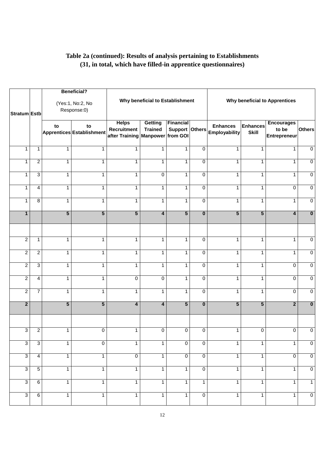### **Table 2a (continued): Results of analysis pertaining to Establishments (31, in total, which have filled-in apprentice questionnaires)**

|                |                 |                | <b>Beneficial?</b>              |                                                                 |                                  |                                    |                         |                                         |                          |                                                   |                         |
|----------------|-----------------|----------------|---------------------------------|-----------------------------------------------------------------|----------------------------------|------------------------------------|-------------------------|-----------------------------------------|--------------------------|---------------------------------------------------|-------------------------|
| Stratum Estb   |                 |                | (Yes:1, No:2, No<br>Response:0) |                                                                 | Why beneficial to Establishment  |                                    |                         |                                         |                          | <b>Why beneficial to Apprentices</b>              |                         |
|                |                 | to             | to<br>Apprentices Establishment | <b>Helps</b><br>Recruitment<br>after Training Manpower from GOI | <b>Getting</b><br><b>Trained</b> | <b>Financial</b><br>Support Others |                         | <b>Enhances</b><br><b>Employability</b> | Enhances<br><b>Skill</b> | <b>Encourages</b><br>to be<br><b>Entrepreneur</b> | <b>Others</b>           |
| $\mathbf{1}$   | 1               | 1              | 1                               | $\mathbf{1}$                                                    | $\mathbf{1}$                     | 1                                  | 0                       | $\mathbf{1}$                            | 1                        | $\mathbf{1}$                                      | $\overline{0}$          |
| $\mathbf{1}$   | $\overline{2}$  | 1              | 1                               | $\mathbf{1}$                                                    | $\mathbf{1}$                     | $\mathbf{1}$                       | 0                       | $\mathbf{1}$                            | $\mathbf{1}$             | $\mathbf{1}$                                      | $\overline{0}$          |
| $\mathbf{1}$   | 3               | $\mathbf{1}$   | 1                               | $\mathbf{1}$                                                    | $\mathbf 0$                      | 1                                  | $\mathbf 0$             | $\mathbf{1}$                            | $\mathbf{1}$             | $\mathbf{1}$                                      | $\overline{0}$          |
| $\mathbf{1}$   | 4               | $\mathbf{1}$   | $\mathbf{1}$                    | $\mathbf{1}$                                                    | $\mathbf{1}$                     | $\mathbf{1}$                       | $\mathbf 0$             | $\mathbf{1}$                            | $\mathbf{1}$             | $\Omega$                                          | $\mathbf 0$             |
| 1              | 8               | $\mathbf{1}$   | 1                               | $\mathbf{1}$                                                    | $\mathbf{1}$                     | $\mathbf{1}$                       | $\mathbf 0$             | $\mathbf{1}$                            | 1                        | $\mathbf{1}$                                      | $\overline{0}$          |
| $\mathbf{1}$   |                 | $\overline{5}$ | $\overline{5}$                  | $\overline{5}$                                                  | $\overline{\mathbf{4}}$          | $\overline{5}$                     | $\overline{\mathbf{0}}$ | $\overline{5}$                          | $\overline{5}$           | $\overline{\mathbf{4}}$                           | $\overline{\mathbf{0}}$ |
|                |                 |                |                                 |                                                                 |                                  |                                    |                         |                                         |                          |                                                   |                         |
| $\overline{2}$ | $\mathbf{1}$    | $\mathbf{1}$   | 1                               | $\mathbf{1}$                                                    | $\mathbf{1}$                     | $\mathbf{1}$                       | $\mathbf 0$             | $\mathbf{1}$                            | 1                        | $\mathbf{1}$                                      | $\pmb{0}$               |
| $\overline{c}$ | $\overline{c}$  | $\mathbf{1}$   | 1                               | $\mathbf{1}$                                                    | $\mathbf{1}$                     | $\mathbf{1}$                       | $\mathbf 0$             | $\mathbf{1}$                            | $\mathbf{1}$             | $\mathbf{1}$                                      | $\pmb{0}$               |
| $\overline{2}$ | $\overline{3}$  | $\mathbf{1}$   | 1                               | 1                                                               | $\mathbf{1}$                     | 1                                  | 0                       | 1                                       | 1                        | $\Omega$                                          | $\overline{0}$          |
| $\overline{2}$ | 4               | $\mathbf{1}$   | 1                               | 0                                                               | $\mathbf 0$                      | $\mathbf{1}$                       | 0                       | 1                                       | 1                        | $\Omega$                                          | $\overline{0}$          |
| $\overline{2}$ | $\overline{7}$  | $\mathbf{1}$   | 1                               | $\mathbf{1}$                                                    | $\mathbf{1}$                     | $\mathbf{1}$                       | $\Omega$                | $\mathbf{1}$                            | 1                        | $\Omega$                                          | $\overline{0}$          |
| $\overline{2}$ |                 | $\overline{5}$ | $\overline{\mathbf{5}}$         | 4                                                               | $\overline{\mathbf{4}}$          | $\overline{5}$                     | $\overline{\mathbf{0}}$ | $\overline{5}$                          | $5\phantom{.0}$          | $\mathbf{2}$                                      | $\overline{\mathbf{0}}$ |
|                |                 |                |                                 |                                                                 |                                  |                                    |                         |                                         |                          |                                                   |                         |
| $\overline{3}$ | $\overline{2}$  | $\mathbf{1}$   | $\overline{0}$                  | $\overline{1}$                                                  | $\Omega$                         | $\Omega$                           | $\Omega$                | 1                                       | $\Omega$                 | $\overline{0}$                                    | $\Omega$                |
| $\overline{3}$ | $\overline{3}$  | $\mathbf{1}$   | $\overline{0}$                  | $\overline{1}$                                                  | $\mathbf{1}$                     | $\overline{0}$                     | $\mathbf 0$             | $\mathbf{1}$                            | $\mathbf{1}$             | $\mathbf{1}$                                      | $\overline{0}$          |
| $\overline{3}$ | $\overline{4}$  | $\mathbf{1}$   | $\mathbf{1}$                    | $\overline{0}$                                                  | $\mathbf{1}$                     | $\overline{0}$                     | $\mathbf 0$             | $\mathbf{1}$                            | $\overline{1}$           | 0                                                 | $\overline{0}$          |
| $\overline{3}$ | $\overline{5}$  | $\mathbf{1}$   | $\mathbf{1}$                    | $\overline{1}$                                                  | $\overline{1}$                   | $\mathbf{1}$                       | $\overline{0}$          | $\mathbf{1}$                            | $\mathbf{1}$             | $\mathbf{1}$                                      | $\overline{0}$          |
| $\overline{3}$ | $6\overline{6}$ | $\mathbf{1}$   | $\mathbf{1}$                    | $\overline{1}$                                                  | $\mathbf{1}$                     | $\mathbf{1}$                       | $\mathbf{1}$            | $\mathbf{1}$                            | $\mathbf{1}$             | $\mathbf{1}$                                      | $\overline{1}$          |
| $\overline{3}$ | $\overline{6}$  | $\mathbf{1}$   | $\mathbf{1}$                    | $\overline{1}$                                                  | $\overline{1}$                   | $\overline{1}$                     | $\overline{0}$          | $\mathbf{1}$                            | $\overline{1}$           | $\mathbf{1}$                                      | $\overline{0}$          |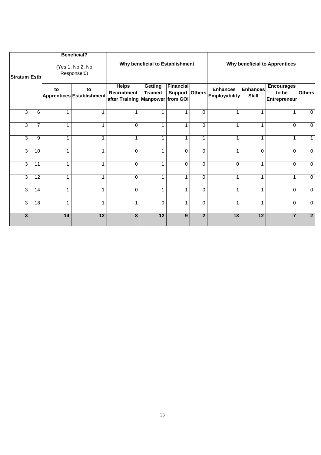|                |                 |              | <b>Beneficial?</b>              |                                                                 |                                  |                                    |                |                                         |                                 |                                                   |                |
|----------------|-----------------|--------------|---------------------------------|-----------------------------------------------------------------|----------------------------------|------------------------------------|----------------|-----------------------------------------|---------------------------------|---------------------------------------------------|----------------|
| Stratum Estb   |                 |              | (Yes:1, No:2, No<br>Response:0) |                                                                 | Why beneficial to Establishment  |                                    |                |                                         |                                 | <b>Why beneficial to Apprentices</b>              |                |
|                |                 | to           | to<br>Apprentices Establishment | <b>Helps</b><br>Recruitment<br>after Training Manpower from GOI | <b>Getting</b><br><b>Trained</b> | <b>Financial</b><br>Support Others |                | <b>Enhances</b><br><b>Employability</b> | <b>Enhances</b><br><b>Skill</b> | <b>Encourages</b><br>to be<br><b>Entrepreneur</b> | <b>Others</b>  |
| 3              | 6               | 1            |                                 | 1                                                               | 1                                | 4                                  | $\Omega$       |                                         |                                 |                                                   | $\Omega$       |
| $\overline{3}$ | $\overline{7}$  | $\mathbf{1}$ |                                 | 0                                                               | 1                                | 1                                  | $\Omega$       | 1                                       | 1                               | 0                                                 | 0              |
| $\overline{3}$ | 9               | 1            |                                 | 1                                                               | 1                                | 1                                  | 1              |                                         |                                 | 1                                                 |                |
| 3              | 10              | 1            |                                 | $\Omega$                                                        | 1                                | $\Omega$                           | $\Omega$       | 1                                       | $\Omega$                        | $\Omega$                                          | $\Omega$       |
| 3              | 11              | 1            |                                 | $\Omega$                                                        | 1                                | $\Omega$                           | $\Omega$       | $\Omega$                                | 1                               | $\Omega$                                          | $\Omega$       |
| 3              | 12              | 1            |                                 | $\Omega$                                                        | 1                                | 1                                  | $\Omega$       | 1                                       | 1                               | 1                                                 | $\Omega$       |
| 3              | 14              | 1            |                                 | $\Omega$                                                        | 1                                | 1                                  | $\Omega$       | 1                                       | 1                               | $\Omega$                                          | $\Omega$       |
| $\overline{3}$ | $\overline{18}$ | 1            |                                 | 1                                                               | 0                                |                                    | 0              |                                         |                                 | 0                                                 | $\mathbf 0$    |
| $\overline{3}$ |                 | 14           | 12                              | 8                                                               | $\overline{12}$                  | 9                                  | $\overline{2}$ | $\overline{13}$                         | 12                              | $\overline{7}$                                    | $\overline{2}$ |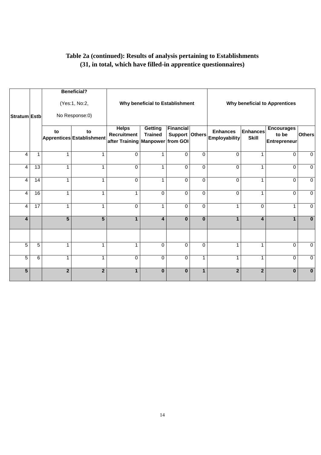### **Table 2a (continued): Results of analysis pertaining to Establishments (31, in total, which have filled-in apprentice questionnaires)**

|                         |                |                | <b>Beneficial?</b><br>(Yes:1, No:2, |                                                                        | Why beneficial to Establishment |                                    |              |                                         |                                 | <b>Why beneficial to Apprentices</b>              |                |
|-------------------------|----------------|----------------|-------------------------------------|------------------------------------------------------------------------|---------------------------------|------------------------------------|--------------|-----------------------------------------|---------------------------------|---------------------------------------------------|----------------|
| <b>Stratum Estb</b>     |                |                | No Response:0)                      |                                                                        |                                 |                                    |              |                                         |                                 |                                                   |                |
|                         |                | to             | to<br>Apprentices Establishment     | <b>Helps</b><br><b>Recruitment</b><br>after Training Manpower from GOI | Getting<br><b>Trained</b>       | <b>Financial</b><br>Support Others |              | <b>Enhances</b><br><b>Employability</b> | <b>Enhances</b><br><b>Skill</b> | <b>Encourages</b><br>to be<br><b>Entrepreneur</b> | <b>Others</b>  |
| $\overline{4}$          | $\mathbf{1}$   | $\mathbf{1}$   | 1                                   | $\Omega$                                                               | $\mathbf{1}$                    | $\Omega$                           | $\Omega$     | $\Omega$                                | 1                               | $\Omega$                                          | $\mathbf 0$    |
| $\overline{4}$          | 13             | $\mathbf{1}$   | 1                                   | $\Omega$                                                               | $\mathbf{1}$                    | $\Omega$                           | $\Omega$     | $\Omega$                                | $\mathbf{1}$                    | $\Omega$                                          | $\mathbf 0$    |
| $\overline{4}$          | 14             | $\mathbf{1}$   | 1                                   | 0                                                                      | $\mathbf{1}$                    | $\Omega$                           | $\Omega$     | $\Omega$                                | 1                               | 0                                                 | $\mathbf 0$    |
| $\overline{\mathbf{4}}$ | 16             | $\mathbf{1}$   | 1                                   | $\mathbf{1}$                                                           | $\Omega$                        | $\Omega$                           | $\Omega$     | $\Omega$                                | 1                               | $\Omega$                                          | $\Omega$       |
| $\overline{\mathbf{4}}$ | 17             | 1              | 1                                   | 0                                                                      | $\mathbf{1}$                    | $\Omega$                           | $\Omega$     | 1                                       | $\mathbf 0$                     | $\mathbf 1$                                       | $\mathbf 0$    |
| 4                       |                | $\overline{5}$ | $\overline{5}$                      | $\mathbf{1}$                                                           | 4                               | $\mathbf{0}$                       | $\bf{0}$     | 1                                       | $\overline{\mathbf{4}}$         | $\mathbf{1}$                                      | $\mathbf{0}$   |
| 5                       | 5              | 1              | 1                                   | $\mathbf 1$                                                            | $\Omega$                        | $\Omega$                           | $\Omega$     | 1                                       | 1                               | $\Omega$                                          | $\mathbf 0$    |
| $\overline{5}$          | $\overline{6}$ | 1              | 1                                   | 0                                                                      | 0                               | $\mathbf 0$                        | 1            | 1                                       | 1                               | 0                                                 | $\overline{0}$ |
| 5                       |                | $\overline{2}$ | $\overline{2}$                      | $\mathbf{1}$                                                           | $\bf{0}$                        | $\bf{0}$                           | $\mathbf{1}$ | $\mathbf{2}$                            | $\mathbf{2}$                    | $\bf{0}$                                          | $\bf{0}$       |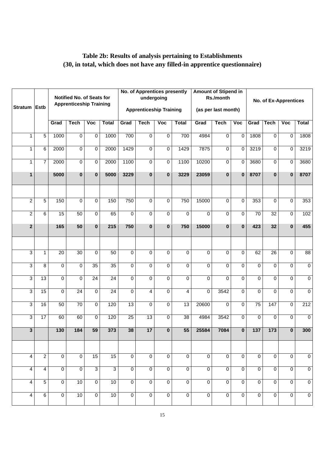### **Table 2b: Results of analysis pertaining to Establishments (30, in total, which does not have any filled-in apprentice questionnaire)**

| <b>Stratum</b>          | <b>Estb</b>             |                  | Notified No. of Seats for<br><b>Apprenticeship Training</b> |                         |                  |                 | <b>No. of Apprentices presently</b><br>undergoing<br><b>Apprenticeship Training</b> |                |                | <b>Amount of Stipend in</b> | Rs./month<br>(as per last month) |                         |                 |                 | No. of Ex-Apprentices |                  |
|-------------------------|-------------------------|------------------|-------------------------------------------------------------|-------------------------|------------------|-----------------|-------------------------------------------------------------------------------------|----------------|----------------|-----------------------------|----------------------------------|-------------------------|-----------------|-----------------|-----------------------|------------------|
|                         |                         | Grad             | <b>Tech</b>                                                 | $\overline{\text{Voc}}$ | <b>Total</b>     | Grad            | <b>Tech</b>                                                                         | Voc            | <b>Total</b>   | Grad                        | <b>Tech</b>                      | $\overline{\text{Voc}}$ | Grad            | <b>Tech</b>     | $\sqrt{10}$           | <b>Total</b>     |
| $\mathbf{1}$            | $\overline{5}$          | 1000             | $\mathbf 0$                                                 | $\mathbf 0$             | 1000             | 700             | $\Omega$                                                                            | 0              | 700            | 4984                        | $\overline{0}$                   | $\mathbf 0$             | 1808            | $\Omega$        | $\mathbf 0$           | 1808             |
| $\mathbf{1}$            | 6                       | 2000             | $\mathbf 0$                                                 | $\mathbf 0$             | 2000             | 1429            | $\Omega$                                                                            | 0              | 1429           | 7875                        | $\overline{0}$                   | 0                       | 3219            | $\mathbf 0$     | 0                     | 3219             |
| $\mathbf{1}$            | $\overline{7}$          | 2000             | 0                                                           | $\mathbf 0$             | 2000             | 1100            | $\Omega$                                                                            | 0              | 1100           | 10200                       | 0                                | $\mathbf 0$             | 3680            | $\mathbf 0$     | 0                     | 3680             |
| $\mathbf{1}$            |                         | 5000             | $\mathbf{0}$                                                | $\bf{0}$                | 5000             | 3229            | $\bf{0}$                                                                            | $\bf{0}$       | 3229           | 23059                       | $\overline{\mathbf{0}}$          | $\bf{0}$                | 8707            | $\bf{0}$        | $\mathbf{0}$          | 8707             |
|                         |                         |                  |                                                             |                         |                  |                 |                                                                                     |                |                |                             |                                  |                         |                 |                 |                       |                  |
| $\overline{2}$          | $\overline{5}$          | 150              | $\overline{0}$                                              | $\overline{0}$          | 150              | 750             | $\Omega$                                                                            | 0              | 750            | 15000                       | $\overline{0}$                   | $\overline{0}$          | 353             | $\Omega$        | 0                     | 353              |
| $\overline{2}$          | $\overline{6}$          | 15               | 50                                                          | $\overline{0}$          | 65               | 0               | $\Omega$                                                                            | 0              | $\Omega$       | 0                           | $\overline{0}$                   | $\Omega$                | $\overline{70}$ | $\overline{32}$ | 0                     | 102              |
| $\overline{2}$          |                         | 165              | 50                                                          | $\mathbf{0}$            | 215              | 750             | $\bf{0}$                                                                            | $\bf{0}$       | 750            | 15000                       | $\mathbf 0$                      | $\mathbf{0}$            | 423             | 32              | $\mathbf{0}$          | 455              |
|                         |                         |                  |                                                             |                         |                  |                 |                                                                                     |                |                |                             |                                  |                         |                 |                 |                       |                  |
| 3                       | $\mathbf{1}$            | $\overline{20}$  | $\overline{30}$                                             | $\Omega$                | $\overline{50}$  | 0               | $\Omega$                                                                            | 0              | 0              | 0                           | 0                                | $\Omega$                | 62              | $\overline{26}$ | 0                     | $\overline{88}$  |
| 3                       | 8                       | $\Omega$         | 0                                                           | $\overline{35}$         | $\overline{35}$  | 0               | $\Omega$                                                                            | $\Omega$       | 0              | $\Omega$                    | $\Omega$                         | $\Omega$                | $\Omega$        | $\Omega$        | 0                     | $\overline{0}$   |
| 3                       | 13                      | $\mathbf 0$      | 0                                                           | 24                      | $\overline{24}$  | 0               | $\Omega$                                                                            | $\Omega$       | 0              | $\Omega$                    | $\Omega$                         | $\Omega$                | $\Omega$        | $\Omega$        | 0                     | $\overline{0}$   |
| 3                       | 15                      | $\Omega$         | 24                                                          | $\Omega$                | $\overline{24}$  | 0               | 4                                                                                   | $\Omega$       | 4              | $\Omega$                    | 3542                             | $\Omega$                | $\Omega$        | $\Omega$        | 0                     | $\mathbf 0$      |
| 3                       | 16                      | 50               | 70                                                          | $\mathbf 0$             | 120              | 13              | $\Omega$                                                                            | 0              | 13             | 20600                       | 0                                | $\Omega$                | 75              | 147             | 0                     | 212              |
| $\overline{3}$          | 17                      | 60               | 60                                                          | $\overline{0}$          | 120              | 25              | 13                                                                                  | $\Omega$       | 38             | 4984                        | 3542                             | $\overline{0}$          | $\Omega$        | $\Omega$        | $\Omega$              | $\mathbf 0$      |
| $\mathbf{z}$            |                         | $\overline{130}$ | 184                                                         | 59                      | $\overline{373}$ | $\overline{38}$ | 17 <sup>1</sup>                                                                     | $\Omega$       | 55             | 25584                       | 7084                             | $\Omega$                | 137             | 173             | n l                   | $\overline{300}$ |
|                         |                         |                  |                                                             |                         |                  |                 |                                                                                     |                |                |                             |                                  |                         |                 |                 |                       |                  |
| 4                       | $\overline{c}$          | $\mathbf 0$      | $\overline{0}$                                              | 15                      | $\overline{15}$  | 0               | $\mathbf 0$                                                                         | $\overline{0}$ | $\overline{0}$ | $\overline{0}$              | $\overline{0}$                   | $\overline{0}$          | $\mathbf 0$     | $\overline{0}$  | 0                     | $\pmb{0}$        |
| $\overline{\mathbf{4}}$ | $\overline{\mathbf{4}}$ | $\overline{0}$   | $\mathbf 0$                                                 | $\overline{3}$          | $\overline{3}$   | $\overline{0}$  | $\mathbf 0$                                                                         | $\overline{0}$ | $\overline{0}$ | $\overline{0}$              | $\overline{0}$                   | $\overline{0}$          | $\overline{0}$  | $\overline{0}$  | 0                     | $\overline{0}$   |
| $\overline{4}$          | $\overline{5}$          | $\overline{0}$   | 10                                                          | $\overline{0}$          | 10               | $\overline{0}$  | $\mathbf 0$                                                                         | $\overline{0}$ | $\overline{0}$ | $\overline{0}$              | $\overline{0}$                   | $\overline{0}$          | $\overline{0}$  | $\overline{0}$  | 0                     | $\overline{0}$   |
| $\overline{4}$          | $\overline{6}$          | $\overline{0}$   | 10                                                          | $\overline{0}$          | 10               | $\overline{0}$  | $\overline{0}$                                                                      | $\overline{0}$ | $\overline{0}$ | $\overline{0}$              | $\overline{0}$                   | $\overline{0}$          | $\overline{0}$  | $\overline{0}$  | 0                     | $\overline{0}$   |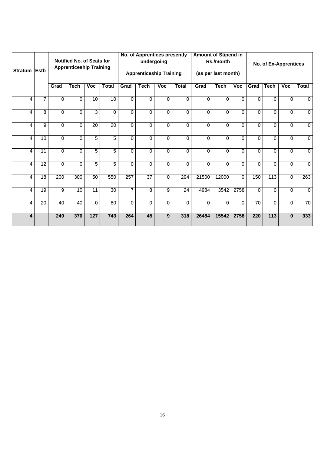|                |             |          | Notified No. of Seats for<br><b>Apprenticeship Training</b> |                 |              |                | No. of Apprentices presently   | undergoing |                 |          | <b>Amount of Stipend in</b><br>Rs./month |          |                 |                  | <b>No. of Ex-Apprentices</b> |                |
|----------------|-------------|----------|-------------------------------------------------------------|-----------------|--------------|----------------|--------------------------------|------------|-----------------|----------|------------------------------------------|----------|-----------------|------------------|------------------------------|----------------|
| <b>Stratum</b> | <b>Estb</b> |          |                                                             |                 |              |                | <b>Apprenticeship Training</b> |            |                 |          | (as per last month)                      |          |                 |                  |                              |                |
|                |             | Grad     | <b>Tech</b>                                                 | Voc             | <b>Total</b> | Grad           | <b>Tech</b>                    | <b>Voc</b> | <b>Total</b>    | Grad     | <b>Tech</b>                              | Voc      | Grad            | <b>Tech</b>      | <b>Voc</b>                   | <b>Total</b>   |
| 4              | 7           | $\Omega$ | $\Omega$                                                    | 10              | 10           | $\Omega$       | $\Omega$                       | $\Omega$   | 0               | $\Omega$ | $\Omega$                                 | $\Omega$ | 0               | $\Omega$         | $\Omega$                     | 0              |
| 4              | 8           | $\Omega$ | $\Omega$                                                    | 3               | $\Omega$     | $\Omega$       | $\Omega$                       | $\Omega$   | 0               | $\Omega$ | $\Omega$                                 | $\Omega$ | 0               | 0                | $\Omega$                     | 0              |
| 4              | 9           | $\Omega$ | $\Omega$                                                    | $\overline{20}$ | 20           | $\Omega$       | $\Omega$                       | $\Omega$   | 0               | $\Omega$ | $\Omega$                                 | $\Omega$ | 0               | 0                | $\Omega$                     | 0              |
| 4              | 10          | $\Omega$ | $\Omega$                                                    | 5               | 5            | $\Omega$       | 0                              | $\Omega$   | 0               | $\Omega$ | $\Omega$                                 | $\Omega$ | 0               | 0                | $\Omega$                     | 0              |
| 4              | 11          | $\Omega$ | $\Omega$                                                    | 5               | 5            | $\Omega$       | $\Omega$                       | $\Omega$   | 0               | $\Omega$ | $\Omega$                                 | $\Omega$ | 0               | $\Omega$         | $\Omega$                     | $\mathbf 0$    |
| 4              | 12          | $\Omega$ | $\Omega$                                                    | 5               | 5            | $\Omega$       | $\Omega$                       | $\Omega$   | 0               | $\Omega$ | $\Omega$                                 | $\Omega$ | $\Omega$        | $\Omega$         | $\Omega$                     | $\mathbf 0$    |
| 4              | 18          | 200      | 300                                                         | 50              | 550          | 257            | $\overline{37}$                | $\Omega$   | 294             | 21500    | 12000                                    | $\Omega$ | 150             | 113              | $\Omega$                     | 263            |
| 4              | 19          | 9        | 10                                                          | 11              | 30           | $\overline{7}$ | 8                              | 9          | $\overline{24}$ | 4984     | 3542                                     | 2758     | 0               | $\Omega$         | $\Omega$                     | $\overline{0}$ |
| 4              | 20          | 40       | 40                                                          | $\Omega$        | 80           | $\Omega$       | 0                              | $\Omega$   | 0               | $\Omega$ | $\Omega$                                 | $\Omega$ | $\overline{70}$ | $\Omega$         | 0                            | 70             |
| 4              |             | 249      | 370                                                         | 127             | 743          | 264            | 45                             | 9          | 318             | 26484    | 15542                                    | 2758     | 220             | $\overline{113}$ | $\Omega$                     | 333            |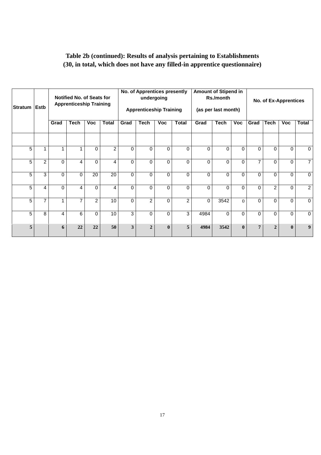### **Table 2b (continued): Results of analysis pertaining to Establishments (30, in total, which does not have any filled-in apprentice questionnaire)**

| Stratum Estb   |                |          | <b>Notified No. of Seats for</b><br><b>Apprenticeship Training</b> |                |                |          | No. of Apprentices presently<br>undergoing<br><b>Apprenticeship Training</b> |              |                | <b>Amount of Stipend in</b> | Rs./month<br>(as per last month) |              |                | <b>No. of Ex-Apprentices</b> |              |                |
|----------------|----------------|----------|--------------------------------------------------------------------|----------------|----------------|----------|------------------------------------------------------------------------------|--------------|----------------|-----------------------------|----------------------------------|--------------|----------------|------------------------------|--------------|----------------|
|                |                | Grad     | <b>Tech</b>                                                        | <b>Voc</b>     | <b>Total</b>   | Grad     | <b>Tech</b>                                                                  | <b>Voc</b>   | <b>Total</b>   | Grad                        | <b>Tech</b>                      | <b>Voc</b>   | Grad           | <b>Tech</b>                  | <b>Voc</b>   | <b>Total</b>   |
|                |                |          |                                                                    |                |                |          |                                                                              |              |                |                             |                                  |              |                |                              |              |                |
| 5              | 1              |          | $\overline{\phantom{a}}$                                           | 0              | $\overline{2}$ | $\Omega$ | 0                                                                            | $\Omega$     | $\Omega$       | $\Omega$                    | $\Omega$                         | $\Omega$     | $\Omega$       | $\mathbf{0}$                 | 0            | $\mathbf 0$    |
| 5              | $\overline{2}$ | $\Omega$ | 4                                                                  | 0              | 4              | $\Omega$ | 0                                                                            | $\Omega$     | $\Omega$       | $\Omega$                    | $\Omega$                         | $\Omega$     | $\overline{7}$ | $\Omega$                     | 0            | $\overline{7}$ |
| 5              | 3              | $\Omega$ | $\Omega$                                                           | 20             | 20             | $\Omega$ | 0                                                                            | $\Omega$     | $\Omega$       | $\Omega$                    | $\Omega$                         | $\Omega$     | $\Omega$       | $\Omega$                     | 0            | $\mathbf{0}$   |
| 5              | 4              | $\Omega$ | 4                                                                  | 0              | 4              | $\Omega$ | 0                                                                            | $\Omega$     | $\Omega$       | $\Omega$                    | $\Omega$                         | $\Omega$     | $\Omega$       | $\overline{2}$               | 0            | $\overline{2}$ |
| $\overline{5}$ | 7              |          | $\overline{7}$                                                     | $\overline{2}$ | 10             | $\Omega$ | $\overline{2}$                                                               | $\Omega$     | $\overline{2}$ | $\Omega$                    | 3542                             | $\Omega$     | 0              | $\Omega$                     | 0            | $\mathbf 0$    |
| 5              | 8              | 4        | 6                                                                  | 0              | 10             | 3        | 0                                                                            | $\Omega$     | 3              | 4984                        | $\Omega$                         | $\Omega$     | $\Omega$       | $\mathbf{0}$                 | 0            | $\mathbf{0}$   |
| 5              |                | 6        | 22                                                                 | 22             | 50             | 3        | $\overline{2}$                                                               | $\mathbf{0}$ | 5              | 4984                        | 3542                             | $\mathbf{0}$ | 7              | $\overline{2}$               | $\mathbf{0}$ | 9 <sup>°</sup> |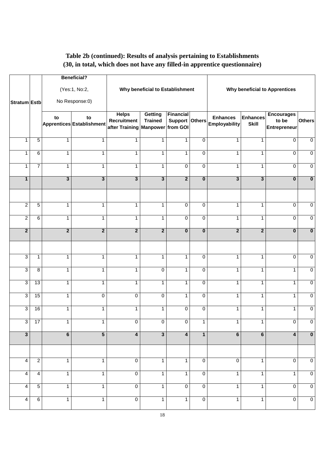### **Table 2b (continued): Results of analysis pertaining to Establishments (30, in total, which does not have any filled-in apprentice questionnaire)**

|                         |                |                         | <b>Beneficial?</b>              |                                                        |                                  |                                                |                |                                         |                                 |                                            |                         |
|-------------------------|----------------|-------------------------|---------------------------------|--------------------------------------------------------|----------------------------------|------------------------------------------------|----------------|-----------------------------------------|---------------------------------|--------------------------------------------|-------------------------|
|                         |                |                         | (Yes:1, No:2,                   |                                                        | Why beneficial to Establishment  |                                                |                |                                         |                                 | Why beneficial to Apprentices              |                         |
| Stratum Estb            |                |                         | No Response:0)                  |                                                        |                                  |                                                |                |                                         |                                 |                                            |                         |
|                         |                | to                      | to<br>Apprentices Establishment | <b>Helps</b><br>Recruitment<br>after Training Manpower | <b>Getting</b><br><b>Trained</b> | <b>Financial</b><br>Support Others<br>from GOI |                | <b>Enhances</b><br><b>Employability</b> | <b>Enhances</b><br><b>Skill</b> | <b>Encourages</b><br>to be<br>Entrepreneur | <b>Others</b>           |
| 1                       | $\overline{5}$ | 1                       | 1                               | $\mathbf{1}$                                           | 1                                | $\mathbf{1}$                                   | $\mathbf 0$    | 1                                       | $\mathbf{1}$                    | $\mathbf 0$                                | $\overline{0}$          |
| 1                       | $\overline{6}$ | 1                       | 1                               | $\mathbf{1}$                                           | 1                                | $\mathbf{1}$                                   | 0              | 1                                       | 1                               | 0                                          | $\overline{0}$          |
| 1                       | $\overline{7}$ | 1                       | $\mathbf{1}$                    | $\mathbf{1}$                                           | 1                                | $\mathbf 0$                                    | $\mathbf 0$    | $\mathbf{1}$                            | $\mathbf{1}$                    | 0                                          | $\mathbf 0$             |
| $\mathbf{1}$            |                | 3                       | $\overline{\mathbf{3}}$         | $\overline{\mathbf{3}}$                                | $\overline{\mathbf{3}}$          | $\overline{2}$                                 | $\mathbf 0$    | $\mathbf{3}$                            | $\mathbf{3}$                    | $\bf{0}$                                   | $\overline{\mathbf{0}}$ |
|                         |                |                         |                                 |                                                        |                                  |                                                |                |                                         |                                 |                                            |                         |
| $\overline{\mathbf{c}}$ | $\sqrt{5}$     | $\mathbf{1}$            | $\mathbf{1}$                    | $\mathbf{1}$                                           | $\mathbf{1}$                     | $\mathbf 0$                                    | $\mathbf 0$    | 1                                       | 1                               | $\mathbf 0$                                | $\mathbf 0$             |
| $\overline{2}$          | 6              | 1                       | $\mathbf{1}$                    | $\mathbf{1}$                                           | $\mathbf{1}$                     | $\overline{0}$                                 | $\pmb{0}$      | $\mathbf{1}$                            | 1                               | 0                                          | $\overline{0}$          |
| $\overline{2}$          |                | $\overline{\mathbf{2}}$ | $\overline{2}$                  | $\overline{2}$                                         | $\overline{2}$                   | $\bf{0}$                                       | $\mathbf 0$    | $\mathbf{2}$                            | $\overline{2}$                  | $\bf{0}$                                   | $\overline{\mathbf{0}}$ |
|                         |                |                         |                                 |                                                        |                                  |                                                |                |                                         |                                 |                                            |                         |
| 3                       | 1              | 1                       | $\mathbf{1}$                    | $\mathbf{1}$                                           | $\mathbf{1}$                     | $\mathbf{1}$                                   | $\mathbf 0$    | 1                                       | 1                               | $\mathbf 0$                                | $\overline{0}$          |
| 3                       | 8              | 1                       | 1                               | $\mathbf{1}$                                           | $\pmb{0}$                        | $\mathbf{1}$                                   | $\pmb{0}$      | 1                                       | $\mathbf{1}$                    | 1                                          | $\mathbf 0$             |
| 3                       | 13             | 1                       | 1                               | $\mathbf{1}$                                           | 1                                | 1                                              | $\overline{0}$ | 1                                       | $\mathbf{1}$                    | 1                                          | $\overline{0}$          |
| 3                       | 15             | 1                       | $\overline{0}$                  | 0                                                      | $\pmb{0}$                        | $\mathbf{1}$                                   | $\pmb{0}$      | 1                                       | $\mathbf{1}$                    | 1                                          | $\overline{0}$          |
| 3                       | 16             | 1                       | 1                               | 1                                                      | 1                                | 0                                              | $\pmb{0}$      | 1                                       | 1                               | 1                                          | $\overline{0}$          |
| 3                       | 17             | 1                       | 1.                              | 0                                                      | 0                                | $\mathbf 0$                                    | 1              | 1                                       |                                 | 0                                          | $\mathbf 0$             |
| $\overline{\mathbf{3}}$ |                | 6                       | $\overline{5}$                  | $\overline{4}$                                         | $\overline{\mathbf{3}}$          | $\overline{\mathbf{4}}$                        | $\mathbf{1}$   | $6\phantom{1}$                          | 6                               | 4                                          | $\overline{\mathbf{0}}$ |
|                         |                |                         |                                 |                                                        |                                  |                                                |                |                                         |                                 |                                            |                         |
| 4                       | $\overline{2}$ | $\mathbf{1}$            | $\mathbf{1}$                    | $\overline{0}$                                         | $\mathbf{1}$                     | $\mathbf{1}$                                   | $\mathbf 0$    | $\overline{0}$                          | $\mathbf{1}$                    | 0                                          | $\overline{0}$          |
| 4                       | 4              | $\mathbf{1}$            | $\mathbf{1}$                    | $\overline{0}$                                         | $\mathbf{1}$                     | $\mathbf{1}$                                   | $\mathbf 0$    | $\mathbf{1}$                            | $\mathbf{1}$                    | $\mathbf{1}$                               | $\overline{0}$          |
| 4                       | $\overline{5}$ | $\mathbf{1}$            | $\mathbf{1}$                    | $\overline{0}$                                         | $\mathbf{1}$                     | $\mathbf 0$                                    | $\overline{0}$ | $\mathbf{1}$                            | $\mathbf{1}$                    | $\mathbf 0$                                | $\overline{0}$          |
| 4                       | 6              | $\mathbf{1}$            | $\mathbf{1}$                    | $\overline{0}$                                         | $\mathbf{1}$                     | $\mathbf{1}$                                   | $\overline{0}$ | $\mathbf{1}$                            | $\mathbf{1}$                    | $\overline{0}$                             | $\overline{0}$          |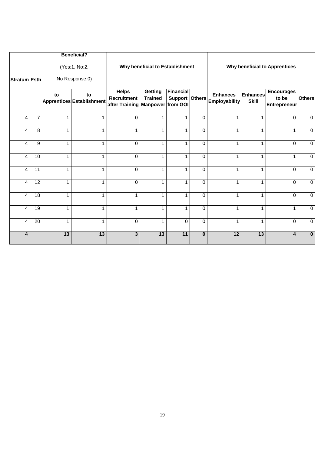|                         |                 |              | <b>Beneficial?</b>              |                                                        |                                 |                                                |          |                                         |                          |                                                   |               |
|-------------------------|-----------------|--------------|---------------------------------|--------------------------------------------------------|---------------------------------|------------------------------------------------|----------|-----------------------------------------|--------------------------|---------------------------------------------------|---------------|
|                         |                 |              | (Yes:1, No:2,                   |                                                        | Why beneficial to Establishment |                                                |          |                                         |                          | <b>Why beneficial to Apprentices</b>              |               |
| Stratum Estb            |                 |              | No Response:0)                  |                                                        |                                 |                                                |          |                                         |                          |                                                   |               |
|                         |                 | to           | to<br>Apprentices Establishment | <b>Helps</b><br>Recruitment<br>after Training Manpower | Getting<br><b>Trained</b>       | <b>Financial</b><br>Support Others<br>from GOI |          | <b>Enhances</b><br><b>Employability</b> | Enhances<br><b>Skill</b> | <b>Encourages</b><br>to be<br><b>Entrepreneur</b> | <b>Others</b> |
| 4                       | $\overline{7}$  | 1            | 1                               | $\Omega$                                               | 1                               | 1                                              | $\Omega$ | 1                                       | 1                        | 0                                                 | $\mathbf 0$   |
| 4                       | 8               | 1            | 1                               | $\mathbf{1}$                                           | 1                               | 1                                              | $\Omega$ | 1                                       | 1                        | 1                                                 | $\mathbf 0$   |
| $\overline{4}$          | 9               | $\mathbf{1}$ | 1                               | $\Omega$                                               | $\mathbf{1}$                    | 1                                              | $\Omega$ | 1                                       | 1                        | $\Omega$                                          | $\mathbf 0$   |
| $\overline{4}$          | 10              | 1            | 1                               | $\Omega$                                               | $\mathbf{1}$                    | 1                                              | $\Omega$ | 1                                       | 1                        | $\mathbf{1}$                                      | $\mathbf 0$   |
| $\overline{\mathbf{4}}$ | 11              | $\mathbf{1}$ | 1                               | 0                                                      | $\mathbf{1}$                    | 1                                              | $\Omega$ | 1                                       | 1                        | 0                                                 | $\mathbf 0$   |
| $\overline{4}$          | $\overline{12}$ | $\mathbf{1}$ | 1                               | $\Omega$                                               | $\mathbf{1}$                    | $\mathbf{1}$                                   | $\Omega$ | 1                                       | 1                        | $\Omega$                                          | $\mathbf 0$   |
| 4                       | $\overline{18}$ | $\mathbf{1}$ | 1                               | $\mathbf{1}$                                           | $\mathbf{1}$                    | 1                                              | $\Omega$ | 1                                       | $\mathbf{1}$             | $\Omega$                                          | $\Omega$      |
| $\overline{\mathbf{4}}$ | 19              | 1            | 4                               | $\mathbf{1}$                                           | $\mathbf{1}$                    | 1                                              | $\Omega$ | 1                                       | 1                        | $\mathbf{1}$                                      | $\mathbf 0$   |
| $\overline{4}$          | 20              | $\mathbf{1}$ | 1                               | 0                                                      | $\mathbf{1}$                    | $\Omega$                                       | $\Omega$ | $\mathbf{1}$                            | $\mathbf{1}$             | 0                                                 | $\mathbf 0$   |
| 4                       |                 | 13           | 13                              | 3                                                      | $\overline{13}$                 | $\overline{11}$                                | $\bf{0}$ | 12                                      | $\overline{13}$          | 4                                                 | $\mathbf{0}$  |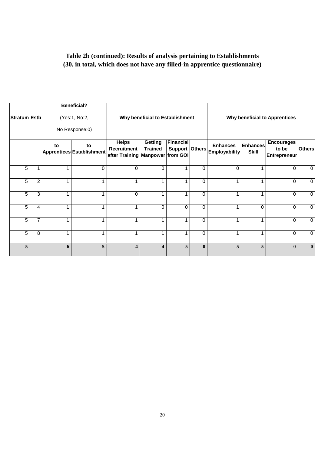### **Table 2b (continued): Results of analysis pertaining to Establishments (30, in total, which does not have any filled-in apprentice questionnaire)**

| Stratum Estb |                |                                                        | <b>Beneficial?</b><br>(Yes:1, No:2,<br>No Response:0) |                                                                 | Why beneficial to Establishment |                                    |              |                                         |                                 | <b>Why beneficial to Apprentices</b>              |               |
|--------------|----------------|--------------------------------------------------------|-------------------------------------------------------|-----------------------------------------------------------------|---------------------------------|------------------------------------|--------------|-----------------------------------------|---------------------------------|---------------------------------------------------|---------------|
|              |                | to<br>to<br>Apprentices Establishment<br>$\Omega$<br>1 |                                                       | <b>Helps</b><br>Recruitment<br>after Training Manpower from GOI | Getting<br><b>Trained</b>       | <b>Financial</b><br>Support Others |              | <b>Enhances</b><br><b>Employability</b> | <b>Enhances</b><br><b>Skill</b> | <b>Encourages</b><br>to be<br><b>Entrepreneur</b> | <b>Others</b> |
| 5            | 1              |                                                        |                                                       | $\Omega$                                                        | $\Omega$                        |                                    | $\Omega$     | $\Omega$                                |                                 | $\Omega$                                          | $\Omega$      |
| 5            | $\overline{c}$ | 1                                                      |                                                       | 4                                                               | -1                              |                                    | $\Omega$     |                                         |                                 | $\Omega$                                          | $\Omega$      |
| 5            | 3              | 1                                                      |                                                       | $\Omega$                                                        |                                 |                                    | $\Omega$     |                                         |                                 | $\Omega$                                          | $\mathbf 0$   |
| 5            | 4              | 1                                                      |                                                       |                                                                 | $\Omega$                        | $\Omega$                           | $\Omega$     |                                         | $\Omega$                        | $\Omega$                                          | $\mathbf 0$   |
| 5            | 7              | 1                                                      |                                                       |                                                                 |                                 |                                    | $\Omega$     |                                         |                                 | 0                                                 | $\mathbf 0$   |
| 5            | 8              | 1                                                      |                                                       | 1                                                               |                                 |                                    | $\Omega$     |                                         |                                 | $\Omega$                                          | $\mathbf 0$   |
| 5            |                | 6                                                      | 5                                                     | 4                                                               | $\overline{\mathbf{4}}$         | 5                                  | $\mathbf{0}$ | 5                                       | 5                               | $\mathbf{0}$                                      | $\mathbf{0}$  |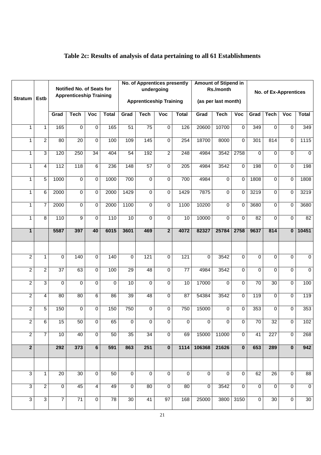| <b>Stratum</b> | <b>Estb</b>    |                 | Notified No. of Seats for<br><b>Apprenticeship Training</b><br>Grad<br>Voc<br><b>Tech</b><br><b>Total</b> |                 |          |                         | No. of Apprentices presently<br><b>Apprenticeship Training</b> | undergoing     |                  |                         | <b>Amount of Stipend in</b><br>Rs./month<br>(as per last month) |                |                 |                  | No. of Ex-Apprentices |                |
|----------------|----------------|-----------------|-----------------------------------------------------------------------------------------------------------|-----------------|----------|-------------------------|----------------------------------------------------------------|----------------|------------------|-------------------------|-----------------------------------------------------------------|----------------|-----------------|------------------|-----------------------|----------------|
|                |                |                 |                                                                                                           |                 |          | Grad                    | <b>Tech</b>                                                    | Voc            | <b>Total</b>     | Grad                    | <b>Tech</b>                                                     | Voc            | Grad            | <b>Tech</b>      | Voc                   | <b>Total</b>   |
| 1              | $\mathbf{1}$   | 165             | 0                                                                                                         | 0               | 165      | $\overline{51}$         | $\overline{75}$                                                | $\mathbf 0$    | 126              | 20600                   | 10700                                                           | 0              | 349             | $\mathbf 0$      | $\Omega$              | 349            |
| 1              | $\overline{2}$ | 80              | $\overline{20}$                                                                                           | $\overline{0}$  | 100      | 109                     | 145                                                            | $\mathbf 0$    | 254              | 18700                   | 8000                                                            | 0              | 301             | 814              | $\Omega$              | 1115           |
| 1              | $\overline{3}$ | 120             | 250                                                                                                       | 34              | 404      | 54                      | 192                                                            | $\overline{2}$ | $\overline{248}$ | 4984                    | 3542                                                            | 2758           | 0               | 0                | $\Omega$              | $\mathbf 0$    |
| 1              | 4              | 112             | 118                                                                                                       | $6\overline{6}$ | 236      | 148                     | 57                                                             | $\mathbf 0$    | 205              | 4984                    | 3542                                                            | 0              | 198             | 0                | $\Omega$              | 198            |
| 1              | 5              | 1000            | 0                                                                                                         | 0               | 1000     | 700                     | $\mathbf 0$                                                    | 0              | 700              | 4984                    | $\mathbf 0$                                                     | 0              | 1808            | 0                | $\Omega$              | 1808           |
| 1              | 6              | 2000            | 0                                                                                                         | 0               | 2000     | 1429                    | $\mathbf 0$                                                    | 0              | 1429             | 7875                    | $\mathbf 0$                                                     | 0              | 3219            | 0                | $\Omega$              | 3219           |
| 1              | $\overline{7}$ | 2000            | 0                                                                                                         | 0               | 2000     | 1100                    | $\mathbf 0$                                                    | $\overline{0}$ | 1100             | 10200                   | $\mathbf 0$                                                     | 0              | 3680            | 0                | $\Omega$              | 3680           |
| 1              | $\overline{8}$ | 110             | $\overline{9}$                                                                                            | $\overline{0}$  | 110      | 10                      | $\mathbf 0$                                                    | $\overline{0}$ | 10               | 10000                   | $\mathbf 0$                                                     | $\Omega$       | 82              | $\Omega$         | $\Omega$              | 82             |
| $\mathbf{1}$   |                | 5587            | 397                                                                                                       | 40              | 6015     | 3601                    | 469                                                            | $\overline{2}$ | 4072             | 82327                   | 25784                                                           | 2758           | 9637            | 814              | $\mathbf{0}$          | 10451          |
|                |                |                 |                                                                                                           |                 |          |                         |                                                                |                |                  |                         |                                                                 |                |                 |                  |                       |                |
| $\overline{2}$ | 1              | $\Omega$        | 140                                                                                                       | $\overline{0}$  | 140      | 0                       | 121                                                            | $\overline{0}$ | 121              | $\Omega$                | 3542                                                            | $\overline{0}$ | $\Omega$        | $\overline{0}$   | $\overline{0}$        | $\mathbf 0$    |
| $\overline{2}$ | $\overline{2}$ | $\overline{37}$ | 63                                                                                                        | $\overline{0}$  | 100      | 29                      | 48                                                             | $\overline{0}$ | $\overline{77}$  | 4984                    | 3542                                                            | $\Omega$       | $\Omega$        | $\Omega$         | $\Omega$              | $\Omega$       |
| $\overline{c}$ | $\overline{3}$ | $\Omega$        | $\mathbf 0$                                                                                               | $\Omega$        | $\Omega$ | 10                      | $\Omega$                                                       | $\mathbf{0}$   | 10               | 17000                   | $\Omega$                                                        | $\Omega$       | $\overline{70}$ | $\overline{30}$  | $\Omega$              | 100            |
| $\overline{2}$ | $\overline{4}$ | 80              | 80                                                                                                        | 6               | 86       | 39                      | 48                                                             | $\Omega$       | 87               | 54384                   | 3542                                                            | $\Omega$       | 119             | $\Omega$         | $\Omega$              | 119            |
| $\overline{2}$ | 5              | 150             | $\Omega$                                                                                                  | $\Omega$        | 150      | 750                     | $\mathbf 0$                                                    | $\Omega$       | 750              | 15000                   | $\Omega$                                                        | $\Omega$       | 353             | $\Omega$         | $\Omega$              | 353            |
| 2              | $\overline{6}$ | 15              | 50                                                                                                        | $\overline{0}$  | 65       | $\overline{0}$          | $\overline{0}$                                                 | $\overline{0}$ | $\overline{0}$   | $\overline{\mathsf{o}}$ | $\overline{0}$                                                  | 0              | 70              | 32               | 0                     | 102            |
| $\overline{2}$ | $\overline{7}$ | 10              | 40                                                                                                        | $\overline{0}$  | 50       | 35                      | $\overline{34}$                                                | $\overline{0}$ | 69               | 15000                   | 11000                                                           | $\mathbf 0$    | 41              | $\overline{227}$ | $\mathbf 0$           | 268            |
| $\overline{2}$ |                | 292             | 373                                                                                                       | 6               | 591      | 863                     | 251                                                            | $\mathbf{0}$   | 1114             | 106368                  | 21626                                                           | $\mathbf{0}$   | 653             | 289              | $\mathbf{0}$          | 942            |
|                |                |                 |                                                                                                           |                 |          |                         |                                                                |                |                  |                         |                                                                 |                |                 |                  |                       |                |
| $\overline{3}$ | $\mathbf{1}$   | $\overline{20}$ | 30                                                                                                        | $\overline{0}$  | 50       | $\overline{0}$          | $\mathbf 0$                                                    | $\overline{0}$ | $\overline{0}$   | $\overline{0}$          | $\overline{0}$                                                  | $\overline{0}$ | 62              | 26               | $\mathbf 0$           | 88             |
| $\overline{3}$ | $\overline{2}$ | $\mathbf 0$     | 45                                                                                                        | $\overline{4}$  | 49       | $\overline{\mathbf{o}}$ | 80                                                             | $\mathbf 0$    | 80               | $\overline{0}$          | 3542                                                            | $\overline{0}$ | $\mathbf 0$     | $\mathbf 0$      | $\mathbf 0$           | $\overline{0}$ |
| 3              | $\overline{3}$ | $\overline{7}$  | 71                                                                                                        | $\overline{0}$  | 78       | 30 <sup>7</sup>         | 41                                                             | 97             | 168              | 25000                   |                                                                 | 3800 3150      | $\overline{0}$  | 30               | $\Omega$              | 30             |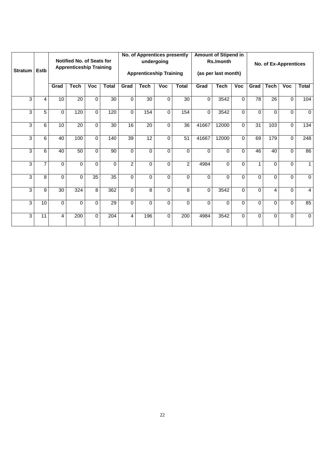|                |                 |          |                                                             |            |                  |                | No. of Apprentices presently   |            |                |          | <b>Amount of Stipend in</b> |          |          |                |                       |                  |
|----------------|-----------------|----------|-------------------------------------------------------------|------------|------------------|----------------|--------------------------------|------------|----------------|----------|-----------------------------|----------|----------|----------------|-----------------------|------------------|
|                |                 |          | Notified No. of Seats for<br><b>Apprenticeship Training</b> |            |                  |                |                                | undergoing |                |          | Rs./month                   |          |          |                | No. of Ex-Apprentices |                  |
| <b>Stratum</b> | <b>Estb</b>     |          |                                                             |            |                  |                | <b>Apprenticeship Training</b> |            |                |          | (as per last month)         |          |          |                |                       |                  |
|                |                 | Grad     | <b>Tech</b>                                                 | <b>Voc</b> | <b>Total</b>     | Grad           | Tech                           | <b>Voc</b> | <b>Total</b>   | Grad     | <b>Tech</b>                 | Voc      | Grad     | <b>Tech</b>    | <b>Voc</b>            | <b>Total</b>     |
| 3              | $\overline{4}$  | 10       | 20                                                          | $\Omega$   | 30               | $\Omega$       | 30                             | $\Omega$   | 30             | $\Omega$ | 3542                        | $\Omega$ | 78       | 26             | $\Omega$              | 104              |
| 3              | 5               | $\Omega$ | 120                                                         | $\Omega$   | 120              | $\Omega$       | 154                            | 0          | 154            | $\Omega$ | 3542                        | $\Omega$ | $\Omega$ | $\Omega$       | $\Omega$              | $\overline{0}$   |
| 3              | 6               | 10       | 20                                                          | $\Omega$   | 30               | 16             | 20                             | $\Omega$   | 36             | 41667    | 12000                       | $\Omega$ | 31       | 103            | $\Omega$              | 134              |
| 3              | 6               | 40       | 100                                                         | $\Omega$   | 140              | 39             | $\overline{12}$                | $\Omega$   | 51             | 41667    | 12000                       | $\Omega$ | 69       | 179            | $\Omega$              | $\overline{248}$ |
| 3              | 6               | 40       | 50                                                          | $\Omega$   | 90               | $\Omega$       | $\Omega$                       | $\Omega$   | $\Omega$       | $\Omega$ | $\Omega$                    | $\Omega$ | 46       | 40             | $\Omega$              | 86               |
| 3              | $\overline{7}$  | $\Omega$ | $\Omega$                                                    | $\Omega$   | $\Omega$         | $\overline{2}$ | $\Omega$                       | 0          | $\overline{2}$ | 4984     | $\Omega$                    | $\Omega$ | 1        | $\Omega$       | $\Omega$              | $\mathbf{1}$     |
| 3              | 8               | $\Omega$ | $\Omega$                                                    | 35         | 35               | $\Omega$       | $\Omega$                       | $\Omega$   | $\Omega$       | $\Omega$ | $\Omega$                    | $\Omega$ | $\Omega$ | $\mathbf 0$    | $\Omega$              | $\mathbf 0$      |
| 3              | 9               | 30       | 324                                                         | 8          | 362              | $\Omega$       | 8                              | $\Omega$   | 8              | $\Omega$ | 3542                        | $\Omega$ | $\Omega$ | $\overline{4}$ | $\Omega$              | $\overline{4}$   |
| 3              | $\overline{10}$ | $\Omega$ | $\Omega$                                                    | $\Omega$   | $\overline{29}$  | $\Omega$       | $\Omega$                       | 0          | $\Omega$       | $\Omega$ | $\Omega$                    | $\Omega$ | $\Omega$ | $\mathbf 0$    | $\Omega$              | 85               |
| 3              | 11              | 4        | 200                                                         | $\Omega$   | $\overline{204}$ | $\overline{4}$ | 196                            | $\Omega$   | 200            | 4984     | 3542                        | $\Omega$ | $\Omega$ | $\Omega$       | $\Omega$              | $\mathbf 0$      |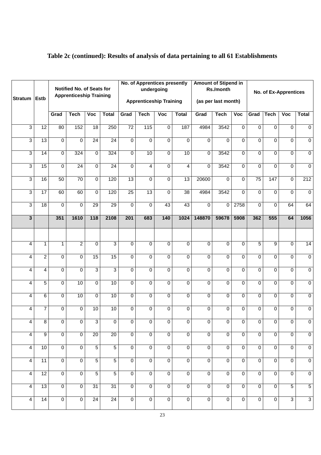| Stratum Estb            |                         | Notified No. of Seats for<br><b>Apprenticeship Training</b><br>Voc<br><b>Total</b><br>Grad<br><b>Tech</b> |                 |                 |                 |                  | <b>No. of Apprentices presently</b><br>undergoing<br><b>Apprenticeship Training</b> |                         |                 | <b>Amount of Stipend in</b> | Rs./month<br>(as per last month) |                |                 |                | No. of Ex-Apprentices |                |
|-------------------------|-------------------------|-----------------------------------------------------------------------------------------------------------|-----------------|-----------------|-----------------|------------------|-------------------------------------------------------------------------------------|-------------------------|-----------------|-----------------------------|----------------------------------|----------------|-----------------|----------------|-----------------------|----------------|
|                         |                         |                                                                                                           |                 |                 |                 | Grad             | <b>Tech</b>                                                                         | $\overline{\text{Voc}}$ | <b>Total</b>    | Grad                        | <b>Tech</b>                      | Voc            | Grad            | Tech           | Voc                   | <b>Total</b>   |
| $\overline{3}$          | 12                      | 80                                                                                                        | 152             | 18              | 250             | 72               | $\overline{115}$                                                                    | $\overline{0}$          | 187             | 4984                        | 3542                             | $\mathbf 0$    | $\mathbf 0$     | $\mathbf 0$    | $\mathbf 0$           | $\overline{0}$ |
| $\overline{3}$          | 13                      | $\overline{0}$                                                                                            | $\overline{0}$  | 24              | $\overline{24}$ | 0                | 0                                                                                   | $\overline{0}$          | $\Omega$        | 0                           | 0                                | $\mathbf 0$    | $\Omega$        | $\overline{0}$ | $\overline{0}$        | $\overline{0}$ |
| $\overline{3}$          | 14                      | $\overline{0}$                                                                                            | 324             | 0               | 324             | 0                | 10                                                                                  | $\overline{0}$          | 10              | 0                           | 3542                             | $\mathbf 0$    | $\Omega$        | $\overline{0}$ | $\mathbf 0$           | $\overline{0}$ |
| $\overline{3}$          | 15                      | $\overline{0}$                                                                                            | $\overline{24}$ | 0               | $\overline{24}$ | 0                | 4                                                                                   | $\overline{0}$          | 4               | 0                           | 3542                             | $\mathbf 0$    | $\Omega$        | $\overline{0}$ | $\overline{0}$        | $\overline{0}$ |
| $\overline{3}$          | 16                      | 50                                                                                                        | 70              | $\overline{0}$  | 120             | 13               | $\overline{0}$                                                                      | $\overline{0}$          | 13              | 20600                       | 0                                | $\overline{0}$ | $\overline{75}$ | 147            | $\overline{0}$        | 212            |
| $\overline{3}$          | $\overline{17}$         | 60                                                                                                        | 60              | $\overline{0}$  | 120             | 25               | $\overline{13}$                                                                     | $\overline{0}$          | $\overline{38}$ | 4984                        | 3542                             | $\Omega$       | $\Omega$        | $\mathbf 0$    | $\mathbf 0$           | $\overline{0}$ |
| $\overline{3}$          | 18                      | $\mathbf 0$                                                                                               | $\overline{0}$  | 29              | 29              | 0                | 0                                                                                   | 43                      | 43              | $\Omega$                    | 0                                | 2758           | $\mathbf 0$     | $\overline{0}$ | 64                    | 64             |
| $\overline{\mathbf{3}}$ |                         | 351                                                                                                       | 1610            | 118             | 2108            | $\overline{201}$ | 683                                                                                 | 140                     | 1024            | 148870                      | 59678                            | 5908           | 362             | 555            | 64                    | 1056           |
|                         |                         |                                                                                                           |                 |                 |                 |                  |                                                                                     |                         |                 |                             |                                  |                |                 |                |                       |                |
| 4                       | $\mathbf{1}$            | $\mathbf{1}$                                                                                              | $\overline{2}$  | 0               | $\overline{3}$  | 0                | $\overline{0}$                                                                      | $\overline{0}$          | $\mathbf 0$     | $\overline{0}$              | $\Omega$                         | $\overline{0}$ | $\overline{5}$  | $\overline{9}$ | $\Omega$              | 14             |
| 4                       | $\overline{2}$          | 0                                                                                                         | $\overline{0}$  | 15              | 15              | 0                | $\overline{0}$                                                                      | $\overline{0}$          | $\mathbf 0$     | 0                           | $\Omega$                         | $\overline{0}$ | $\Omega$        | $\Omega$       | $\Omega$              | $\overline{0}$ |
| 4                       | 4                       | 0                                                                                                         | $\Omega$        | $\overline{3}$  | $\overline{3}$  | 0                | $\overline{0}$                                                                      | $\overline{0}$          | $\mathbf 0$     | $\overline{0}$              | $\Omega$                         | $\overline{0}$ | $\Omega$        | $\Omega$       | $\Omega$              | $\overline{0}$ |
| 4                       | $\overline{5}$          | $\mathbf 0$                                                                                               | 10              | $\overline{0}$  | 10              | 0                | $\overline{0}$                                                                      | $\overline{0}$          | $\mathbf 0$     | 0                           | $\Omega$                         | $\Omega$       | $\Omega$        | $\Omega$       | $\mathbf 0$           | $\overline{0}$ |
| 4                       | 6                       | $\mathbf 0$                                                                                               | 10              | 0               | 10              | 0                | 0                                                                                   | $\overline{0}$          | $\mathbf 0$     | 0                           | 0                                | $\Omega$       | $\Omega$        | $\overline{0}$ | $\overline{0}$        | $\overline{0}$ |
| 4                       | $\overline{7}$          | $\mathbf 0$                                                                                               | $\mathbf 0$     | 10              | 10              | 0                | 0                                                                                   | $\overline{0}$          | $\mathbf 0$     | 0                           | 0                                | $\Omega$       | $\Omega$        | $\Omega$       | $\mathbf 0$           | $\overline{0}$ |
| $\overline{4}$          | $\overline{\mathbf{8}}$ | $\overline{0}$                                                                                            | $\overline{0}$  | $\overline{3}$  | $\overline{0}$  | $\overline{0}$   | $\overline{0}$                                                                      | $\overline{0}$          | $\overline{0}$  | $\overline{0}$              | $\overline{0}$                   | $\overline{0}$ | $\overline{0}$  | $\overline{0}$ | $\overline{0}$        | $\overline{0}$ |
| $\overline{4}$          | $\overline{9}$          | $\overline{0}$                                                                                            | $\overline{0}$  | $\overline{20}$ | $\overline{20}$ | 0                | $\mathbf 0$                                                                         | $\overline{\mathsf{o}}$ | $\mathbf 0$     | $\overline{0}$              | $\overline{0}$                   | $\overline{0}$ | $\overline{0}$  | $\overline{0}$ | $\overline{0}$        | $\overline{0}$ |
| 4                       | 10                      | $\overline{0}$                                                                                            | $\overline{0}$  | $\overline{5}$  | $\overline{5}$  | 0                | $\mathbf 0$                                                                         | $\overline{0}$          | $\mathbf 0$     | $\overline{0}$              | $\overline{0}$                   | $\overline{0}$ | $\overline{0}$  | $\overline{0}$ | $\overline{0}$        | $\overline{0}$ |
| 4                       | 11                      | $\overline{0}$                                                                                            | $\overline{0}$  | $\overline{5}$  | $\overline{5}$  | $\overline{0}$   | $\mathbf 0$                                                                         | $\overline{0}$          | $\mathbf 0$     | $\overline{0}$              | $\overline{0}$                   | $\overline{0}$ | $\overline{0}$  | $\overline{0}$ | $\overline{0}$        | $\overline{0}$ |
| 4                       | 12                      | $\mathbf 0$                                                                                               | $\overline{0}$  | $\overline{5}$  | $\overline{5}$  | 0                | $\mathbf 0$                                                                         | $\mathbf 0$             | $\mathbf 0$     | $\overline{0}$              | $\overline{0}$                   | $\Omega$       | $\overline{0}$  | $\overline{0}$ | $\mathbf 0$           | $\overline{0}$ |
| 4                       | 13                      | $\overline{0}$                                                                                            | $\overline{0}$  | 31              | 31              | $\overline{0}$   | $\mathbf 0$                                                                         | $\overline{0}$          | $\mathbf 0$     | $\overline{0}$              | $\overline{0}$                   | $\overline{0}$ | $\overline{0}$  | $\overline{0}$ | $\overline{5}$        | $\overline{5}$ |
| $\overline{4}$          | 14                      | $\overline{0}$                                                                                            | $\overline{0}$  | 24              | 24              | $\overline{0}$   | $\overline{0}$                                                                      | $\overline{0}$          | $\overline{0}$  | $\overline{0}$              | $\overline{0}$                   | $\overline{0}$ | $\overline{0}$  | $\overline{0}$ | $\overline{3}$        | $\overline{3}$ |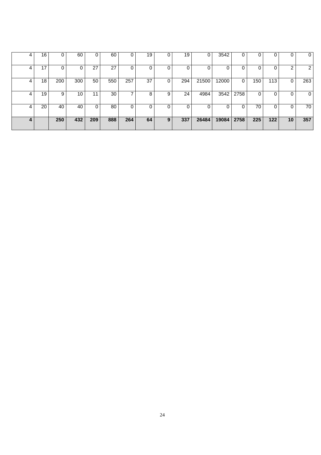| 4 | 16 | 0   | 60              | 0   | 60  | 0   | 19 |   | 19  | 0     | 3542  | $\Omega$ | 0   | 0   | 0               | 0              |
|---|----|-----|-----------------|-----|-----|-----|----|---|-----|-------|-------|----------|-----|-----|-----------------|----------------|
| 4 | 17 |     |                 | 27  | 27  | 0   | 0  |   |     |       |       | 0        |     |     | ົ               | $\overline{2}$ |
| 4 | 18 | 200 | 300             | 50  | 550 | 257 | 37 |   | 294 | 21500 | 12000 | 0        | 150 | 113 | 0               | 263            |
| 4 | 19 | 9   | 10 <sup>°</sup> | 11  | 30  |     | 8  | 9 | 24  | 4984  | 3542  | 2758     | 0   |     | 0               | $\overline{0}$ |
| 4 | 20 | 40  | 40              | 0   | 80  | 0   | 0  |   |     | ი     |       | 0        | 70  |     | $\Omega$        | 70             |
| 4 |    | 250 | 432             | 209 | 888 | 264 | 64 | 9 | 337 | 26484 | 19084 | 2758     | 225 | 122 | 10 <sub>1</sub> | 357            |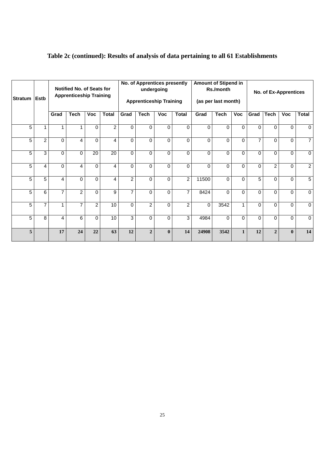| <b>Stratum</b> | <b>Estb</b>    |                | <b>Notified No. of Seats for</b><br><b>Apprenticeship Training</b> |                |                |                | No. of Apprentices presently<br><b>Apprenticeship Training</b> | undergoing   |                | <b>Amount of Stipend in</b> | Rs./month<br>(as per last month) |              |                |                | No. of Ex-Apprentices |                |
|----------------|----------------|----------------|--------------------------------------------------------------------|----------------|----------------|----------------|----------------------------------------------------------------|--------------|----------------|-----------------------------|----------------------------------|--------------|----------------|----------------|-----------------------|----------------|
|                |                | Grad           | <b>Tech</b>                                                        | <b>Voc</b>     | <b>Total</b>   | Grad           | <b>Tech</b>                                                    | <b>Voc</b>   | <b>Total</b>   | Grad                        | <b>Tech</b>                      | <b>Voc</b>   | Grad           | <b>Tech</b>    | <b>Voc</b>            | <b>Total</b>   |
| 5              | 1              | 1              |                                                                    | $\Omega$       | $\overline{2}$ | $\Omega$       | $\Omega$                                                       | $\Omega$     | $\Omega$       | $\Omega$                    | $\Omega$                         | $\Omega$     | $\Omega$       | $\Omega$       | $\Omega$              | $\mathbf 0$    |
| 5              | $\overline{2}$ | $\Omega$       | 4                                                                  | $\Omega$       | 4              | $\Omega$       | $\Omega$                                                       | $\Omega$     | $\Omega$       | $\Omega$                    | $\Omega$                         | 0            | $\overline{7}$ | $\Omega$       | $\Omega$              | $\overline{7}$ |
| 5              | 3              | $\Omega$       | $\Omega$                                                           | 20             | 20             | $\Omega$       | $\Omega$                                                       | $\Omega$     | $\Omega$       | $\Omega$                    | $\Omega$                         | $\Omega$     | 0              | $\Omega$       | 0                     | $\mathbf 0$    |
| 5              | 4              | $\Omega$       | 4                                                                  | $\Omega$       | 4              | 0              | $\Omega$                                                       | $\Omega$     | $\Omega$       | $\Omega$                    | $\Omega$                         | $\Omega$     | 0              | $\overline{2}$ | $\Omega$              | $\overline{2}$ |
| 5              | 5              | 4              | $\Omega$                                                           | $\Omega$       | 4              | $\overline{2}$ | $\Omega$                                                       | $\Omega$     | $\overline{2}$ | 11500                       | $\Omega$                         | $\Omega$     | 5              | $\Omega$       | $\Omega$              | $\sqrt{5}$     |
| 5              | 6              | $\overline{7}$ | $\overline{2}$                                                     | $\Omega$       | 9              | 7              | $\Omega$                                                       | $\Omega$     | $\overline{7}$ | 8424                        | $\Omega$                         | $\Omega$     | 0              | $\Omega$       | $\Omega$              | $\mathbf 0$    |
| 5              | $\overline{7}$ | 1              | $\overline{7}$                                                     | $\overline{2}$ | 10             | $\Omega$       | $\overline{2}$                                                 | $\Omega$     | $\overline{2}$ | $\Omega$                    | 3542                             | 1            | 0              | $\Omega$       | $\Omega$              | $\mathbf 0$    |
| 5              | 8              | 4              | 6                                                                  | $\Omega$       | 10             | 3              | $\Omega$                                                       | $\Omega$     | 3              | 4984                        | $\Omega$                         | $\Omega$     | 0              | $\Omega$       | $\Omega$              | $\overline{0}$ |
| 5              |                | 17             | 24                                                                 | 22             | 63             | 12             | $\overline{2}$                                                 | $\mathbf{0}$ | 14             | 24908                       | 3542                             | $\mathbf{1}$ | 12             | $\overline{2}$ | $\mathbf{0}$          | 14             |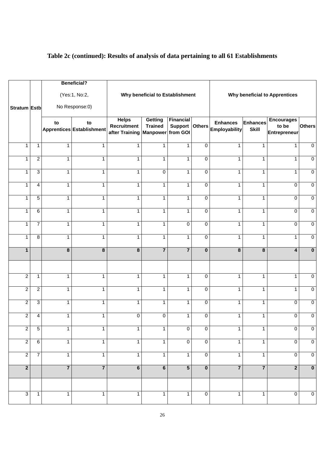|                  |                         |                         | <b>Beneficial?</b>              |                                                               |                                 |                       |                         |                                                 |                                 |                                            |                         |
|------------------|-------------------------|-------------------------|---------------------------------|---------------------------------------------------------------|---------------------------------|-----------------------|-------------------------|-------------------------------------------------|---------------------------------|--------------------------------------------|-------------------------|
| Stratum Estb     |                         |                         | (Yes:1, No:2,<br>No Response:0) |                                                               | Why beneficial to Establishment |                       |                         |                                                 |                                 | <b>Why beneficial to Apprentices</b>       |                         |
|                  |                         | to                      | to<br>Apprentices Establishment | <b>Helps</b><br><b>Recruitment</b><br>after Training Manpower | Getting<br><b>Trained</b>       | Financial<br>from GOI |                         | <b>Enhances</b><br>Support Others Employability | <b>Enhances</b><br><b>Skill</b> | <b>Encourages</b><br>to be<br>Entrepreneur | <b>Others</b>           |
| $\mathbf{1}$     | $\mathbf{1}$            | $\mathbf{1}$            | 1                               | $\mathbf{1}$                                                  | 1                               | $\mathbf{1}$          | $\mathbf 0$             | 1                                               | $\mathbf{1}$                    | 1                                          | $\overline{0}$          |
| $\mathbf{1}$     | $\overline{2}$          | $\mathbf{1}$            | $\mathbf{1}$                    | $\mathbf{1}$                                                  | $\mathbf{1}$                    | $\mathbf{1}$          | $\mathbf 0$             | $\mathbf{1}$                                    | $\mathbf{1}$                    | $\mathbf{1}$                               | $\overline{0}$          |
| $\mathbf 1$      | $\overline{3}$          | $\mathbf{1}$            | $\mathbf{1}$                    | $\mathbf{1}$                                                  | $\overline{0}$                  | $\mathbf{1}$          | $\mathbf 0$             | $\mathbf{1}$                                    | $\mathbf{1}$                    | $\mathbf{1}$                               | $\overline{0}$          |
| $\mathbf 1$      | $\overline{\mathbf{4}}$ | $\mathbf{1}$            | $\mathbf{1}$                    | $\mathbf{1}$                                                  | $\mathbf{1}$                    | $\mathbf{1}$          | $\mathbf 0$             | 1                                               | 1                               | 0                                          | $\overline{0}$          |
| $\mathbf 1$      | $\overline{5}$          | $\mathbf{1}$            | $\mathbf{1}$                    | $\mathbf{1}$                                                  | $\mathbf 1$                     | $\mathbf{1}$          | $\mathbf 0$             | 1                                               | 1                               | $\Omega$                                   | $\overline{0}$          |
| $\mathbf 1$      | 6                       | $\mathbf{1}$            | $\mathbf{1}$                    | $\mathbf{1}$                                                  | $\mathbf 1$                     | $\mathbf{1}$          | $\mathbf 0$             | 1                                               | 1                               | $\Omega$                                   | $\overline{0}$          |
| $\mathbf{1}$     | $\overline{7}$          | $\mathbf{1}$            | $\mathbf{1}$                    | $\mathbf{1}$                                                  | $\mathbf{1}$                    | $\mathbf 0$           | $\mathbf 0$             | $\mathbf{1}$                                    | $\mathbf{1}$                    | 0                                          | $\mathbf 0$             |
| $\mathbf{1}$     | $\overline{8}$          | $\mathbf{1}$            | $\mathbf{1}$                    | $\mathbf{1}$                                                  | $\mathbf{1}$                    | $\mathbf{1}$          | $\mathbf 0$             | $\mathbf{1}$                                    | $\mathbf{1}$                    | $\mathbf{1}$                               | $\mathbf 0$             |
| $\mathbf{1}$     |                         | $\overline{\mathbf{8}}$ | $\overline{\mathbf{8}}$         | $\overline{\mathbf{8}}$                                       | $\overline{7}$                  | $\overline{7}$        | $\overline{\mathbf{0}}$ | $\overline{\mathbf{8}}$                         | $\pmb{8}$                       | 4                                          | $\mathbf 0$             |
|                  |                         |                         |                                 |                                                               |                                 |                       |                         |                                                 |                                 |                                            |                         |
| $\overline{2}$   | $\mathbf{1}$            | $\mathbf{1}$            | $\mathbf{1}$                    | $\mathbf{1}$                                                  | $\mathbf{1}$                    | $\mathbf{1}$          | $\mathbf 0$             | $\mathbf{1}$                                    | $\mathbf{1}$                    | $\mathbf{1}$                               | $\overline{0}$          |
| $\overline{2}$   | $\overline{2}$          | $\mathbf{1}$            | $\mathbf{1}$                    | $\mathbf{1}$                                                  | $\mathbf{1}$                    | $\mathbf{1}$          | $\mathbf 0$             | $\mathbf{1}$                                    | $\mathbf{1}$                    | $\mathbf{1}$                               | $\overline{0}$          |
| $\overline{2}$   | 3                       | $\mathbf{1}$            | $\mathbf{1}$                    | $\mathbf{1}$                                                  | $\mathbf{1}$                    | $\mathbf{1}$          | $\mathbf 0$             | $\mathbf{1}$                                    | $\mathbf{1}$                    | 0                                          | $\overline{0}$          |
| $\boldsymbol{2}$ | 4                       | 1                       | 1                               | 0                                                             | 0                               | 1                     | 0                       | 1                                               | $\mathbf{1}$                    | 0                                          | $\pmb{0}$               |
| $\overline{2}$   | $\overline{5}$          | $\mathbf{1}$            | 1                               | $\mathbf{1}$                                                  | 1                               | $\Omega$              | $\mathbf 0$             |                                                 | 1                               | 0                                          | $\overline{0}$          |
| $\overline{2}$   | $\overline{6}$          | $\overline{1}$          | $\overline{1}$                  | $\overline{1}$                                                | $\overline{1}$                  | $\overline{0}$        | $\overline{0}$          | 1                                               | $\mathbf{1}$                    | $\overline{0}$                             | $\overline{0}$          |
| $\overline{2}$   | $\overline{7}$          | $\overline{1}$          | $\overline{1}$                  | $\overline{1}$                                                | $\mathbf{1}$                    | $\overline{1}$        | $\overline{0}$          | 1                                               | $\mathbf{1}$                    | $\pmb{0}$                                  | $\overline{0}$          |
| $\overline{2}$   |                         | $\overline{7}$          | $\overline{7}$                  | $6\overline{6}$                                               | $\bullet$                       | $\overline{5}$        | $\overline{\mathbf{0}}$ | $\overline{7}$                                  | $\overline{7}$                  | $\overline{2}$                             | $\overline{\mathbf{0}}$ |
|                  |                         |                         |                                 |                                                               |                                 |                       |                         |                                                 |                                 |                                            |                         |
| $\overline{3}$   | $\mathbf{1}$            | $\overline{1}$          | $\mathbf 1$                     | $\overline{1}$                                                | $\overline{1}$                  | $\overline{1}$        | $\overline{0}$          | 1                                               | 1                               | $\mathbf 0$                                | $\overline{0}$          |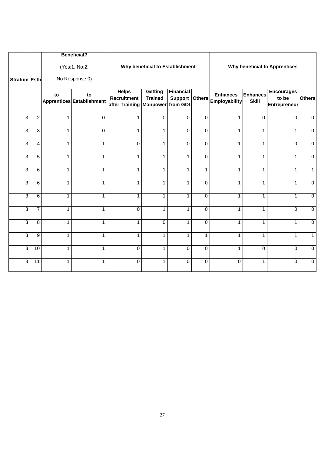| <b>Stratum Estb</b> |                 |                | <b>Beneficial?</b><br>(Yes:1, No:2,<br>No Response:0) | <b>Helps</b>                         | Why beneficial to Establishment<br><b>Getting</b> | <b>Financial</b> |                |                                                 |                          | <b>Why beneficial to Apprentices</b><br><b>Encourages</b> |                |
|---------------------|-----------------|----------------|-------------------------------------------------------|--------------------------------------|---------------------------------------------------|------------------|----------------|-------------------------------------------------|--------------------------|-----------------------------------------------------------|----------------|
|                     |                 | to             | to<br>Apprentices Establishment                       | <b>Recruitment</b><br>after Training | <b>Trained</b><br><b>Manpower</b>                 | from GOI         |                | <b>Enhances</b><br>Support Others Employability | Enhances<br><b>Skill</b> | to be<br><b>Entrepreneur</b>                              | <b>Others</b>  |
| 3                   | $\overline{2}$  | 1              | 0                                                     | $\mathbf 1$                          | $\Omega$                                          | $\Omega$         | 0              | 1                                               | 0                        | $\Omega$                                                  | $\Omega$       |
| $\overline{3}$      | $\overline{3}$  | $\overline{1}$ | $\overline{0}$                                        | $\mathbf{1}$                         | $\mathbf{1}$                                      | $\Omega$         | $\overline{0}$ | $\mathbf{1}$                                    | 1                        | 1                                                         | $\mathbf 0$    |
| 3                   | 4               | $\mathbf{1}$   | 1                                                     | $\mathbf 0$                          | $\mathbf{1}$                                      | $\mathbf 0$      | $\overline{0}$ | $\mathbf{1}$                                    | 1                        | $\Omega$                                                  | $\overline{0}$ |
| 3                   | $\sqrt{5}$      | $\mathbf{1}$   | $\mathbf{1}$                                          | $\mathbf{1}$                         | $\mathbf{1}$                                      | $\mathbf{1}$     | $\overline{0}$ | $\mathbf{1}$                                    | $\mathbf{1}$             | $\mathbf{1}$                                              | $\mathbf 0$    |
| $\overline{3}$      | $\overline{6}$  | $\mathbf{1}$   | $\mathbf{1}$                                          | $\mathbf{1}$                         | $\mathbf{1}$                                      | $\mathbf{1}$     | $\mathbf{1}$   | $\mathbf{1}$                                    | $\mathbf{1}$             | $\mathbf{1}$                                              | 1              |
| 3                   | 6               | $\mathbf{1}$   | $\mathbf{1}$                                          | $\mathbf{1}$                         | $\mathbf{1}$                                      | $\mathbf{1}$     | $\overline{0}$ | $\mathbf{1}$                                    | 1                        | 1                                                         | $\mathbf 0$    |
| $\overline{3}$      | 6               | $\mathbf{1}$   | $\mathbf{1}$                                          | $\mathbf{1}$                         | $\mathbf{1}$                                      | $\mathbf{1}$     | $\overline{0}$ | $\mathbf{1}$                                    | $\mathbf{1}$             | $\mathbf{1}$                                              | $\mathbf 0$    |
| $\overline{3}$      | $\overline{7}$  | 1              | $\mathbf{1}$                                          | $\Omega$                             | $\mathbf{1}$                                      | $\mathbf{1}$     | $\overline{0}$ | $\mathbf{1}$                                    | $\mathbf{1}$             | $\Omega$                                                  | $\mathbf 0$    |
| 3                   | 8               | $\mathbf{1}$   | $\mathbf{1}$                                          | $\mathbf{1}$                         | $\mathbf 0$                                       | $\mathbf{1}$     | $\overline{0}$ | $\mathbf{1}$                                    | $\mathbf{1}$             | $\mathbf{1}$                                              | $\mathbf 0$    |
| 3                   | $\overline{9}$  | 1              | 1                                                     | 1                                    | 1                                                 | 1                | $\mathbf{1}$   | 1                                               | 1                        | 1                                                         | 1              |
| 3                   | $\overline{10}$ | $\mathbf{1}$   | $\mathbf{1}$                                          | $\Omega$                             | $\mathbf{1}$                                      | $\Omega$         | $\mathbf 0$    | $\mathbf{1}$                                    | $\Omega$                 | $\Omega$                                                  | $\Omega$       |
| $\overline{3}$      | 11              | $\mathbf{1}$   | $\mathbf{1}$                                          | $\Omega$                             | $\mathbf{1}$                                      | $\Omega$         | $\Omega$       | $\Omega$                                        | $\mathbf{1}$             | $\Omega$                                                  | $\Omega$       |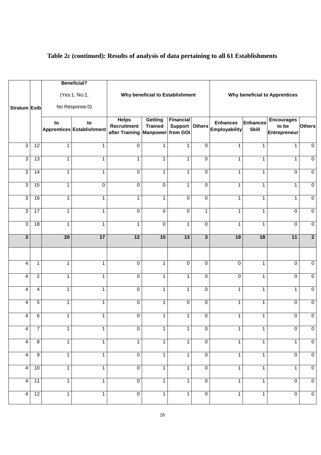|                           |                 |                                  | <b>Beneficial?</b>               |                                                      |                                              |                                  |                                  |                                                 |                                 |                                            |                                  |
|---------------------------|-----------------|----------------------------------|----------------------------------|------------------------------------------------------|----------------------------------------------|----------------------------------|----------------------------------|-------------------------------------------------|---------------------------------|--------------------------------------------|----------------------------------|
| Stratum Estb              |                 |                                  | (Yes:1, No:2,<br>No Response:0)  |                                                      | Why beneficial to Establishment              |                                  |                                  |                                                 |                                 | <b>Why beneficial to Apprentices</b>       |                                  |
|                           |                 | to                               | to<br>Apprentices Establishment  | <b>Helps</b><br><b>Recruitment</b><br>after Training | Getting<br><b>Trained</b><br><b>Manpower</b> | <b>Financial</b><br>from GOI     |                                  | <b>Enhances</b><br>Support Others Employability | <b>Enhances</b><br><b>Skill</b> | <b>Encourages</b><br>to be<br>Entrepreneur | <b>Others</b>                    |
| 3                         | $\overline{12}$ | $\mathbf{1}$                     | $\mathbf{1}$                     | $\mathbf 0$                                          | 1                                            | $\mathbf{1}$                     | 0                                | $\mathbf{1}$                                    | 1                               | 1                                          | $\mathbf 0$                      |
| 3                         | 13              | $\mathbf{1}$                     | $\mathbf{1}$                     | $\mathbf{1}$                                         | 1                                            | $\mathbf{1}$                     | 0                                | $\mathbf{1}$                                    | 1                               | $\mathbf{1}$                               | $\overline{0}$                   |
| $\ensuremath{\mathsf{3}}$ | $\overline{14}$ | $\mathbf{1}$                     | $\mathbf{1}$                     | $\overline{0}$                                       | 1                                            | $\mathbf{1}$                     | $\overline{0}$                   | $\mathbf{1}$                                    | 1                               | 0                                          | $\overline{0}$                   |
| $\ensuremath{\mathsf{3}}$ | 15              | $\mathbf{1}$                     | 0                                | $\overline{0}$                                       | $\mathbf 0$                                  | $\mathbf{1}$                     | $\overline{0}$                   | $\mathbf{1}$                                    | 1                               | $\mathbf{1}$                               | $\mathbf 0$                      |
| 3                         | 16              | $\mathbf{1}$                     | $\mathbf{1}$                     | $\mathbf{1}$                                         | $\mathbf{1}$                                 | $\mathbf 0$                      | $\overline{0}$                   | $\mathbf{1}$                                    | 1                               | $\mathbf{1}$                               | $\overline{0}$                   |
| 3                         | 17              | $\mathbf{1}$                     | $\mathbf{1}$                     | $\mathbf 0$                                          | $\overline{0}$                               | $\mathbf 0$                      | $\mathbf{1}$                     | $\mathbf{1}$                                    | 1                               | $\Omega$                                   | $\overline{0}$                   |
| $\overline{3}$            | $\overline{18}$ | $\mathbf{1}$                     | $\mathbf{1}$                     | $\mathbf{1}$                                         | $\overline{0}$                               | $\mathbf{1}$                     | $\overline{0}$                   | $\mathbf{1}$                                    | 1                               | $\Omega$                                   | $\overline{0}$                   |
| $\mathbf{3}$              |                 | $\overline{20}$                  | 17                               | 12                                                   | 15                                           | 13                               | 3                                | 19                                              | 18                              | 11                                         | $\overline{2}$                   |
|                           |                 |                                  |                                  |                                                      |                                              |                                  |                                  |                                                 |                                 |                                            |                                  |
| 4                         | $\mathbf{1}$    | $\mathbf{1}$                     | $\mathbf{1}$                     | $\mathbf 0$                                          | $\mathbf{1}$                                 | $\mathbf 0$                      | $\mathbf 0$                      | 0                                               | $\mathbf{1}$                    | 0                                          | $\pmb{0}$                        |
| 4                         | $\overline{2}$  | $\mathbf{1}$                     | $\mathbf{1}$                     | $\mathbf 0$                                          | $\mathbf{1}$                                 | $\mathbf{1}$                     | $\mathbf 0$                      | $\pmb{0}$                                       | $\mathbf{1}$                    | 0                                          | $\pmb{0}$                        |
| 4                         | 4               | $\mathbf{1}$                     | $\mathbf{1}$                     | $\mathbf 0$                                          | $\mathbf{1}$                                 | $\mathbf{1}$                     | $\overline{0}$                   | $\mathbf{1}$                                    | $\mathbf{1}$                    | $\mathbf{1}$                               | $\overline{0}$                   |
| 4                         | $\overline{5}$  | $\mathbf{1}$                     | $\mathbf{1}$                     | $\mathbf 0$                                          | $\mathbf{1}$                                 | $\mathbf 0$                      | $\overline{0}$                   | $\mathbf{1}$                                    | $\mathbf{1}$                    | 0                                          | $\overline{0}$                   |
| 4                         | 6               | $\mathbf{1}$                     | $\mathbf{1}$                     | $\mathbf 0$                                          | $\mathbf{1}$                                 | $\mathbf{1}$                     | $\pmb{0}$                        | $\mathbf{1}$                                    | $\mathbf{1}$                    | 0                                          | $\overline{0}$                   |
| $\overline{4}$            | $\overline{7}$  | $\mathbf{1}$                     | $\mathbf{1}$                     | $\Omega$                                             | 1                                            | $\mathbf{1}$                     | 0                                | 1                                               | 1                               | 0                                          | $\mathbf 0$                      |
| $\overline{4}$            | $\overline{8}$  | $\mathbf{1}$                     | $\mathbf{1}$                     | $\mathbf{1}$                                         | $\mathbf{1}$                                 | $\mathbf{1}$                     | $\overline{0}$                   | $\mathbf{1}$                                    | $\mathbf{1}$                    | $\mathbf{1}$                               | $\overline{0}$                   |
| $\overline{4}$            | $\overline{9}$  | $\overline{1}$                   | $\overline{1}$                   | $\overline{0}$                                       | $\overline{1}$                               | $\overline{1}$                   | $\overline{0}$                   | $\overline{1}$                                  | $\mathbf{1}$                    | 0                                          | $\overline{0}$                   |
| $\overline{4}$            | 10              | $\overline{1}$<br>$\overline{1}$ | $\overline{1}$<br>$\overline{1}$ | $\overline{0}$<br>$\overline{0}$                     | $\overline{1}$<br>$\overline{1}$             | $\overline{1}$<br>$\overline{1}$ | $\overline{0}$<br>$\overline{0}$ | $\overline{1}$<br>$\overline{1}$                | $\mathbf{1}$                    | $\overline{1}$                             | $\overline{0}$<br>$\overline{0}$ |
| $\overline{4}$            | 11              |                                  |                                  |                                                      |                                              |                                  |                                  |                                                 | $\mathbf{1}$                    | 0                                          |                                  |
| $\overline{4}$            | 12              | $\overline{1}$                   | $\overline{1}$                   | $\overline{0}$                                       | $\mathbf{1}$                                 | $\overline{1}$                   | $\overline{0}$                   | $\overline{1}$                                  | $\mathbf{1}$                    | $\overline{0}$                             | $\overline{0}$                   |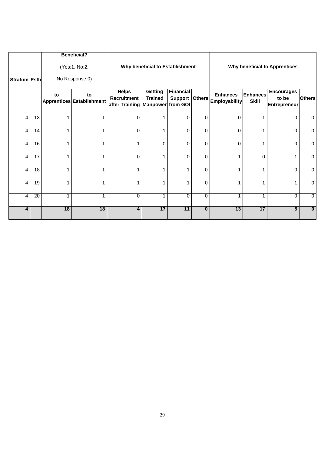|                         |                 |              | <b>Beneficial?</b>              |                                                                            |                                 |                                    |              |                                         |                                 |                                                   |               |
|-------------------------|-----------------|--------------|---------------------------------|----------------------------------------------------------------------------|---------------------------------|------------------------------------|--------------|-----------------------------------------|---------------------------------|---------------------------------------------------|---------------|
| Stratum Estb            |                 |              | (Yes:1, No:2,<br>No Response:0) |                                                                            | Why beneficial to Establishment |                                    |              |                                         |                                 | <b>Why beneficial to Apprentices</b>              |               |
|                         |                 | to           | to<br>Apprentices Establishment | <b>Helps</b><br><b>Recruitment</b><br>after Training   Manpower   from GOI | Getting<br><b>Trained</b>       | <b>Financial</b><br>Support Others |              | <b>Enhances</b><br><b>Employability</b> | <b>Enhances</b><br><b>Skill</b> | <b>Encourages</b><br>to be<br><b>Entrepreneur</b> | <b>Others</b> |
| 4                       | 13              | 1            | 1                               | $\Omega$                                                                   | 1                               | 0                                  | $\mathbf 0$  | $\mathbf 0$                             | 1                               | 0                                                 | $\mathbf 0$   |
| 4                       | 14              | $\mathbf{1}$ |                                 | $\Omega$                                                                   | 1                               | 0                                  | $\mathbf 0$  | $\Omega$                                | 1                               | $\Omega$                                          | $\mathbf 0$   |
| 4                       | 16              | 1            |                                 |                                                                            | $\Omega$                        | $\Omega$                           | $\mathbf 0$  | $\mathbf 0$                             | 1                               | $\mathbf 0$                                       | $\mathbf 0$   |
| $\overline{4}$          | 17              | 1            |                                 | $\Omega$                                                                   |                                 | 0                                  | $\Omega$     | 1                                       | $\Omega$                        |                                                   | $\mathbf{0}$  |
| 4                       | 18              | 1            |                                 | 4                                                                          |                                 | $\overline{\phantom{a}}$           | $\mathbf 0$  | 1                                       |                                 | 0                                                 | $\mathbf 0$   |
| 4                       | $\overline{19}$ | 1            | 1                               | 1                                                                          | 1                               | 1                                  | $\mathbf 0$  | 1                                       | 1                               |                                                   | $\mathbf{0}$  |
| 4                       | $\overline{20}$ | 1            | 1                               | $\Omega$                                                                   | 1                               | 0                                  | $\mathbf 0$  | 1                                       | 1                               | $\Omega$                                          | $\mathbf 0$   |
| $\overline{\mathbf{4}}$ |                 | 18           | 18                              | $\overline{\mathbf{4}}$                                                    | 17                              | 11                                 | $\mathbf{0}$ | 13                                      | 17                              | 5                                                 | $\mathbf 0$   |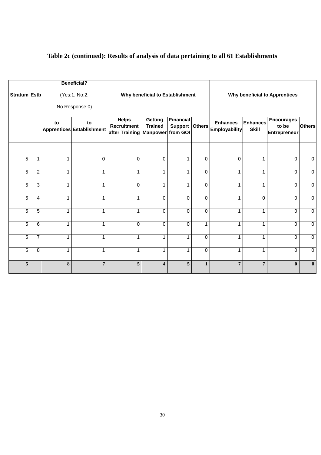|                     |                |              | <b>Beneficial?</b>              |                                                      |                                                       |                             |               |                                         |                                 |                                            |                |
|---------------------|----------------|--------------|---------------------------------|------------------------------------------------------|-------------------------------------------------------|-----------------------------|---------------|-----------------------------------------|---------------------------------|--------------------------------------------|----------------|
| <b>Stratum Estb</b> |                |              | (Yes:1, No:2,                   |                                                      | Why beneficial to Establishment                       |                             |               |                                         |                                 | <b>Why beneficial to Apprentices</b>       |                |
|                     |                |              | No Response:0)                  |                                                      |                                                       |                             |               |                                         |                                 |                                            |                |
|                     |                | to           | to<br>Apprentices Establishment | <b>Helps</b><br><b>Recruitment</b><br>after Training | <b>Getting</b><br><b>Trained</b><br>Manpower from GOI | <b>Financial</b><br>Support | <b>Others</b> | <b>Enhances</b><br><b>Employability</b> | <b>Enhances</b><br><b>Skill</b> | <b>Encourages</b><br>to be<br>Entrepreneur | <b>Others</b>  |
|                     |                |              |                                 |                                                      |                                                       |                             |               |                                         |                                 |                                            |                |
| 5                   | 1              | 1            | $\Omega$                        | $\Omega$                                             | $\Omega$                                              | $\mathbf 1$                 | $\Omega$      | $\Omega$                                | $\mathbf{1}$                    | $\Omega$                                   | $\mathbf 0$    |
| 5                   | $\overline{c}$ | $\mathbf{1}$ | 1                               | 1                                                    | $\mathbf{1}$                                          | $\mathbf{1}$                | 0             | $\mathbf{1}$                            | $\mathbf{1}$                    | $\mathbf 0$                                | $\mathbf 0$    |
| $\overline{5}$      | $\overline{3}$ | $\mathbf{1}$ | $\mathbf{1}$                    | $\mathbf 0$                                          | 1                                                     | 1                           | $\Omega$      | 1                                       | $\mathbf{1}$                    | $\Omega$                                   | $\mathbf 0$    |
| $\overline{5}$      | 4              | $\mathbf{1}$ | $\mathbf{1}$                    | 1                                                    | $\mathbf 0$                                           | $\Omega$                    | $\mathbf 0$   | $\mathbf{1}$                            | $\mathbf 0$                     | $\Omega$                                   | $\mathbf 0$    |
| $\overline{5}$      | $\overline{5}$ | $\mathbf{1}$ | 1                               | 1                                                    | $\Omega$                                              | $\Omega$                    | $\Omega$      | 1                                       | $\mathbf 1$                     | $\Omega$                                   | $\mathbf 0$    |
| $\overline{5}$      | 6              | 1            | 1                               | $\mathbf 0$                                          | $\mathbf 0$                                           | $\mathbf 0$                 | $\mathbf{1}$  | 1                                       | 1                               | $\mathbf 0$                                | $\mathbf 0$    |
| 5                   | $\overline{7}$ | 1            | 1                               | 1                                                    | 1                                                     | 1                           | $\Omega$      | 1                                       | $\mathbf 1$                     | $\Omega$                                   | 0              |
| $\overline{5}$      | $\overline{8}$ | $\mathbf{1}$ | 1                               | 1                                                    | 1                                                     | 1                           | $\mathbf 0$   | 1                                       | 1                               | $\mathbf 0$                                | $\overline{0}$ |
| 5                   |                | $\bf{8}$     | $\overline{7}$                  | $\sqrt{5}$                                           | $\overline{\mathbf{4}}$                               | 5                           | $\mathbf{1}$  | $\overline{7}$                          | $\overline{7}$                  | $\bf{0}$                                   | $\bf{0}$       |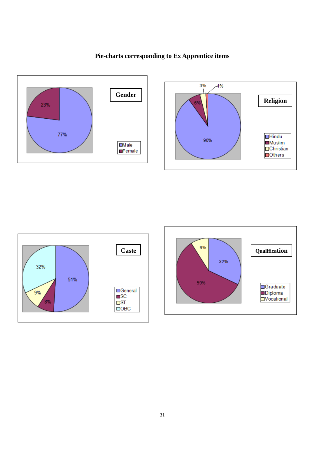

# 3%  $-1%$ **Religion**  $\Box$ Hindu<br> $\Box$ Muslim 90% Christian Others





### **Pie-charts corresponding to Ex Apprentice items**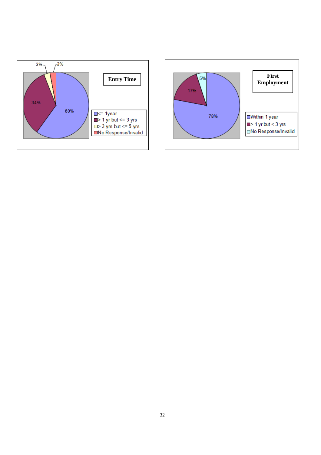

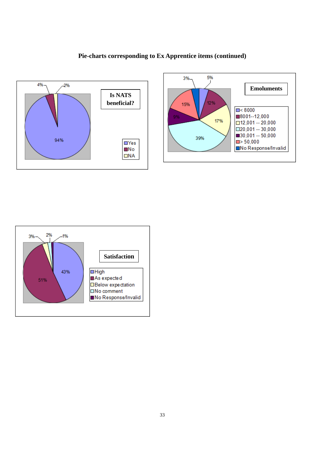#### **Pie-charts corresponding to Ex Apprentice items (continued)**





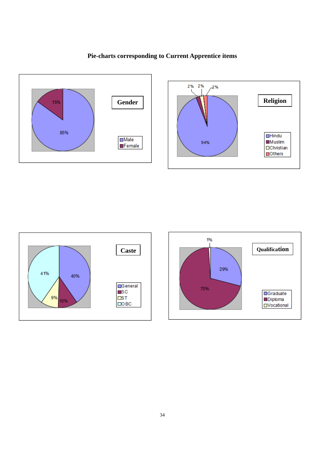### **Pie-charts corresponding to Current Apprentice items**







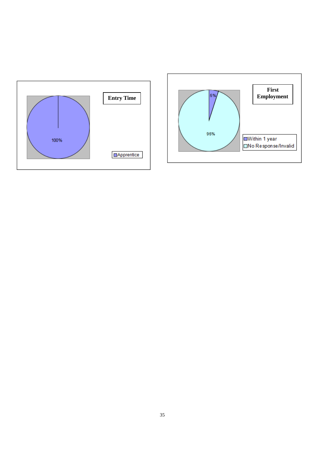